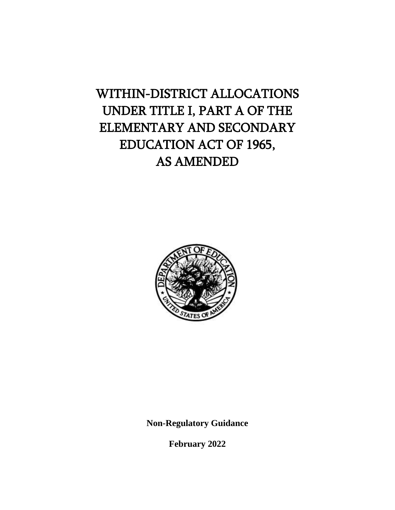# WITHIN-DISTRICT ALLOCATIONS UNDER TITLE I, PART A OF THE ELEMENTARY AND SECONDARY EDUCATION ACT OF 1965, AS AMENDED



**Non-Regulatory Guidance**

**February 2022**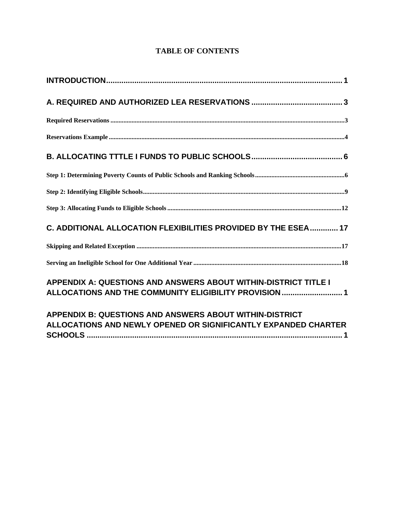| C. ADDITIONAL ALLOCATION FLEXIBILITIES PROVIDED BY THE ESEA 17                                                            |
|---------------------------------------------------------------------------------------------------------------------------|
|                                                                                                                           |
|                                                                                                                           |
| APPENDIX A: QUESTIONS AND ANSWERS ABOUT WITHIN-DISTRICT TITLE I<br>ALLOCATIONS AND THE COMMUNITY ELIGIBILITY PROVISION  1 |
| APPENDIX B: QUESTIONS AND ANSWERS ABOUT WITHIN-DISTRICT<br>ALLOCATIONS AND NEWLY OPENED OR SIGNIFICANTLY EXPANDED CHARTER |

**SCHOOLS [......................................................................................................................](#page-32-0) 1**

# **TABLE OF CONTENTS**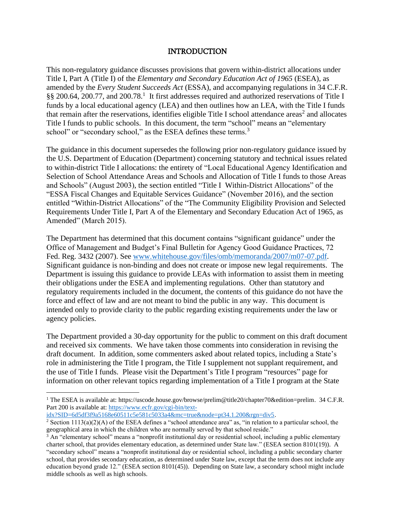## INTRODUCTION

<span id="page-2-0"></span>This non-regulatory guidance discusses provisions that govern within-district allocations under Title I, Part A (Title I) of the *Elementary and Secondary Education Act of 1965* (ESEA), as amended by the *Every Student Succeeds Act* (ESSA), and accompanying regulations in 34 C.F.R. §§ 200.64, 200.77, and 200.78.<sup>1</sup> It first addresses required and authorized reservations of Title I funds by a local educational agency (LEA) and then outlines how an LEA, with the Title I funds that remain after the reservations, identifies eligible Title I school attendance areas<sup>2</sup> and allocates Title I funds to public schools. In this document, the term "school" means an "elementary school" or "secondary school," as the ESEA defines these terms.<sup>3</sup>

The guidance in this document supersedes the following prior non-regulatory guidance issued by the U.S. Department of Education (Department) concerning statutory and technical issues related to within-district Title I allocations: the entirety of "Local Educational Agency Identification and Selection of School Attendance Areas and Schools and Allocation of Title I funds to those Areas and Schools" (August 2003), the section entitled "Title I Within-District Allocations" of the "ESSA Fiscal Changes and Equitable Services Guidance" (November 2016), and the section entitled "Within-District Allocations" of the "The Community Eligibility Provision and Selected Requirements Under Title I, Part A of the Elementary and Secondary Education Act of 1965, as Amended" (March 2015).

The Department has determined that this document contains "significant guidance" under the Office of Management and Budget's Final Bulletin for Agency Good Guidance Practices, 72 Fed. Reg. 3432 (2007). See [www.whitehouse.gov/files/omb/memoranda/2007/m07-07.pdf.](https://share.ed.gov/teams/OGC/DESAVE/Shared%20Documents/Title%20I,%20Part%20A/www.whitehouse,gov/sites/whitehouse.gov/files/omb/memoranda/2007/m07-07.pdf) Significant guidance is non-binding and does not create or impose new legal requirements. The Department is issuing this guidance to provide LEAs with information to assist them in meeting their obligations under the ESEA and implementing regulations. Other than statutory and regulatory requirements included in the document, the contents of this guidance do not have the force and effect of law and are not meant to bind the public in any way. This document is intended only to provide clarity to the public regarding existing requirements under the law or agency policies.

The Department provided a 30-day opportunity for the public to comment on this draft document and received six comments. We have taken those comments into consideration in revising the draft document. In addition, some commenters asked about related topics, including a State's role in administering the Title I program, the Title I supplement not supplant requirement, and the use of Title I funds. Please visit the Department's Title I program "resources" page for information on other relevant topics regarding implementation of a Title I program at the State

[idx?SID=6d5df3f9a5168e60511c5e581c5033a4&mc=true&node=pt34.1.200&rgn=div5.](https://www.ecfr.gov/cgi-bin/text-idx?SID=6d5df3f9a5168e60511c5e581c5033a4&mc=true&node=pt34.1.200&rgn=div5)

<sup>&</sup>lt;sup>1</sup> The ESEA is available at: https://uscode.house.gov/browse/prelim@title20/chapter70&edition=prelim. 34 C.F.R. Part 200 is available at: [https://www.ecfr.gov/cgi-bin/text-](https://www.ecfr.gov/cgi-bin/text-idx?SID=6d5df3f9a5168e60511c5e581c5033a4&mc=true&node=pt34.1.200&rgn=div5)

<sup>&</sup>lt;sup>2</sup> Section 1113(a)(2)(A) of the ESEA defines a "school attendance area" as, "in relation to a particular school, the geographical area in which the children who are normally served by that school reside."

<sup>&</sup>lt;sup>3</sup> An "elementary school" means a "nonprofit institutional day or residential school, including a public elementary charter school, that provides elementary education, as determined under State law." (ESEA section 8101(19)). A "secondary school" means a "nonprofit institutional day or residential school, including a public secondary charter school, that provides secondary education, as determined under State law, except that the term does not include any education beyond grade 12." (ESEA section 8101(45)). Depending on State law, a secondary school might include middle schools as well as high schools.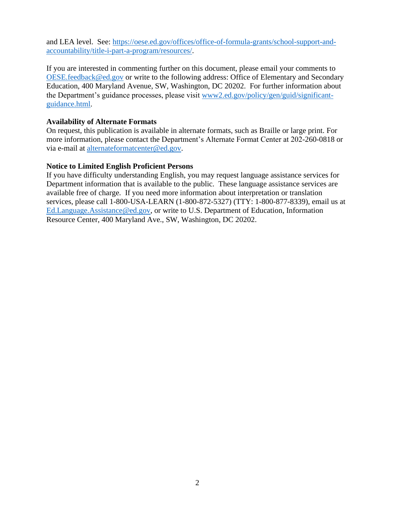and LEA level. See: [https://oese.ed.gov/offices/office-of-formula-grants/school-support-and](https://oese.ed.gov/offices/office-of-formula-grants/school-support-and-accountability/title-i-part-a-program/resources/)[accountability/title-i-part-a-program/resources/.](https://oese.ed.gov/offices/office-of-formula-grants/school-support-and-accountability/title-i-part-a-program/resources/)

If you are interested in commenting further on this document, please email your comments to [OESE.feedback@ed.gov](mailto:OESE.feedback@ed.gov) or write to the following address: Office of Elementary and Secondary Education, 400 Maryland Avenue, SW, Washington, DC 20202. For further information about the Department's guidance processes, please visit [www2.ed.gov/policy/gen/guid/significant](http://www2.ed.gov/policy/gen/guid/significant-guidance.html)[guidance.html.](http://www2.ed.gov/policy/gen/guid/significant-guidance.html)

#### **Availability of Alternate Formats**

On request, this publication is available in alternate formats, such as Braille or large print. For more information, please contact the Department's Alternate Format Center at 202-260-0818 or via e-mail at [alternateformatcenter@ed.gov.](mailto:alternateformatcenter@ed.gov)

## **Notice to Limited English Proficient Persons**

If you have difficulty understanding English, you may request language assistance services for Department information that is available to the public. These language assistance services are available free of charge. If you need more information about interpretation or translation services, please call 1-800-USA-LEARN (1-800-872-5327) (TTY: 1-800-877-8339), email us at [Ed.Language.Assistance@ed.gov,](mailto:Ed.Language.Assistance@ed.gov) or write to U.S. Department of Education, Information Resource Center, 400 Maryland Ave., SW, Washington, DC 20202.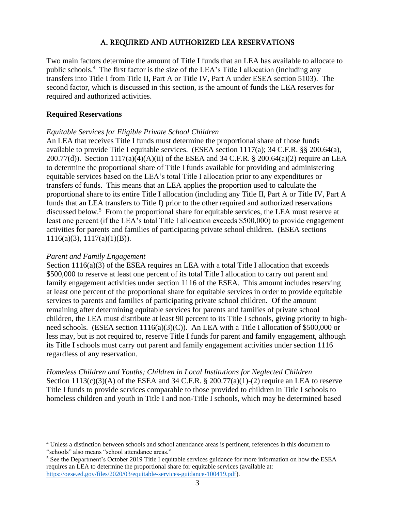# A. REQUIRED AND AUTHORIZED LEA RESERVATIONS

<span id="page-4-0"></span>Two main factors determine the amount of Title I funds that an LEA has available to allocate to public schools.<sup>4</sup> The first factor is the size of the LEA's Title I allocation (including any transfers into Title I from Title II, Part A or Title IV, Part A under ESEA section 5103). The second factor, which is discussed in this section, is the amount of funds the LEA reserves for required and authorized activities.

#### <span id="page-4-1"></span>**Required Reservations**

#### *Equitable Services for Eligible Private School Children*

An LEA that receives Title I funds must determine the proportional share of those funds available to provide Title I equitable services. (ESEA section 1117(a); 34 C.F.R. §§ 200.64(a), 200.77(d)). Section 1117(a)(4)(A)(ii) of the ESEA and 34 C.F.R. § 200.64(a)(2) require an LEA to determine the proportional share of Title I funds available for providing and administering equitable services based on the LEA's total Title I allocation prior to any expenditures or transfers of funds. This means that an LEA applies the proportion used to calculate the proportional share to its entire Title I allocation (including any Title II, Part A or Title IV, Part A funds that an LEA transfers to Title I) prior to the other required and authorized reservations discussed below.<sup>5</sup> From the proportional share for equitable services, the LEA must reserve at least one percent (if the LEA's total Title I allocation exceeds \$500,000) to provide engagement activities for parents and families of participating private school children. (ESEA sections 1116(a)(3), 1117(a)(1)(B)).

#### *Parent and Family Engagement*

Section 1116(a)(3) of the ESEA requires an LEA with a total Title I allocation that exceeds \$500,000 to reserve at least one percent of its total Title I allocation to carry out parent and family engagement activities under section 1116 of the ESEA. This amount includes reserving at least one percent of the proportional share for equitable services in order to provide equitable services to parents and families of participating private school children. Of the amount remaining after determining equitable services for parents and families of private school children, the LEA must distribute at least 90 percent to its Title I schools, giving priority to highneed schools. (ESEA section 1116(a)(3)(C)). An LEA with a Title I allocation of \$500,000 or less may, but is not required to, reserve Title I funds for parent and family engagement, although its Title I schools must carry out parent and family engagement activities under section 1116 regardless of any reservation.

*Homeless Children and Youths; Children in Local Institutions for Neglected Children* Section  $1113(c)(3)(A)$  of the ESEA and 34 C.F.R. § 200.77(a)(1)-(2) require an LEA to reserve Title I funds to provide services comparable to those provided to children in Title I schools to homeless children and youth in Title I and non-Title I schools, which may be determined based

<sup>4</sup> Unless a distinction between schools and school attendance areas is pertinent, references in this document to "schools" also means "school attendance areas."

<sup>&</sup>lt;sup>5</sup> See the Department's October 2019 Title I equitable services guidance for more information on how the ESEA requires an LEA to determine the proportional share for equitable services (available at: [https://oese.ed.gov/files/2020/03/equitable-services-guidance-100419.pdf\)](https://oese.ed.gov/files/2020/03/equitable-services-guidance-100419.pdf).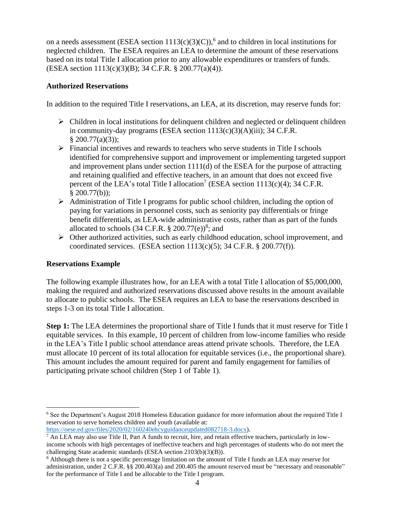on a needs assessment (ESEA section  $1113(c)(3)(C)$ ), <sup>6</sup> and to children in local institutions for neglected children. The ESEA requires an LEA to determine the amount of these reservations based on its total Title I allocation prior to any allowable expenditures or transfers of funds. (ESEA section 1113(c)(3)(B); 34 C.F.R. § 200.77(a)(4)).

# **Authorized Reservations**

In addition to the required Title I reservations, an LEA, at its discretion, may reserve funds for:

- $\triangleright$  Children in local institutions for delinquent children and neglected or delinquent children in community-day programs (ESEA section 1113(c)(3)(A)(iii); 34 C.F.R.  $§$  200.77(a)(3));
- ➢ Financial incentives and rewards to teachers who serve students in Title I schools identified for comprehensive support and improvement or implementing targeted support and improvement plans under section 1111(d) of the ESEA for the purpose of attracting and retaining qualified and effective teachers, in an amount that does not exceed five percent of the LEA's total Title I allocation<sup>7</sup> (ESEA section  $1113(c)(4)$ ; 34 C.F.R.  $§$  200.77(b));
- ➢ Administration of Title I programs for public school children, including the option of paying for variations in personnel costs, such as seniority pay differentials or fringe benefit differentials, as LEA-wide administrative costs, rather than as part of the funds allocated to schools  $(34 \text{ C.F.R. } § 200.77(e))^8$ ; and
- ➢ Other authorized activities, such as early childhood education, school improvement, and coordinated services. (ESEA section  $1113(c)(5)$ ; 34 C.F.R. § 200.77(f)).

# <span id="page-5-0"></span>**Reservations Example**

The following example illustrates how, for an LEA with a total Title I allocation of \$5,000,000, making the required and authorized reservations discussed above results in the amount available to allocate to public schools. The ESEA requires an LEA to base the reservations described in steps 1-3 on its total Title I allocation.

**Step 1:** The LEA determines the proportional share of Title I funds that it must reserve for Title I equitable services. In this example, 10 percent of children from low-income families who reside in the LEA's Title I public school attendance areas attend private schools. Therefore, the LEA must allocate 10 percent of its total allocation for equitable services (i.e., the proportional share). This amount includes the amount required for parent and family engagement for families of participating private school children (Step 1 of Table 1).

<sup>6</sup> See the Department's August 2018 Homeless Education guidance for more information about the required Title I reservation to serve homeless children and youth (available at:

[https://oese.ed.gov/files/2020/02/160240ehcyguidanceupdated082718-3.docx\)](https://oese.ed.gov/files/2020/02/160240ehcyguidanceupdated082718-3.docx).

 $^7$  An LEA may also use Title II, Part A funds to recruit, hire, and retain effective teachers, particularly in lowincome schools with high percentages of ineffective teachers and high percentages of students who do not meet the challenging State academic standards (ESEA section 2103(b)(3)(B)).

<sup>8</sup> Although there is not a specific percentage limitation on the amount of Title I funds an LEA may reserve for administration, under 2 C.F.R. §§ 200.403(a) and 200.405 the amount reserved must be "necessary and reasonable" for the performance of Title I and be allocable to the Title I program.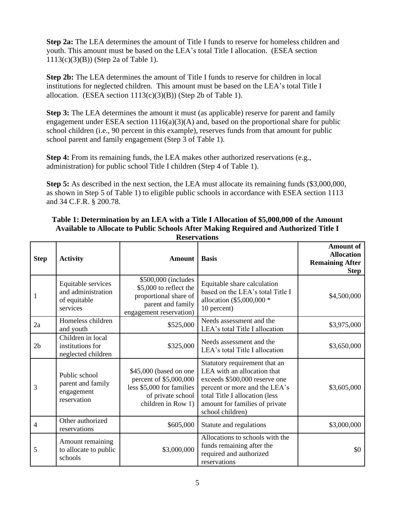**Step 2a:** The LEA determines the amount of Title I funds to reserve for homeless children and youth. This amount must be based on the LEA's total Title I allocation. (ESEA section 1113(c)(3)(B)) (Step 2a of Table 1).

**Step 2b:** The LEA determines the amount of Title I funds to reserve for children in local institutions for neglected children. This amount must be based on the LEA's total Title I allocation. (ESEA section  $1113(c)(3)(B)$ ) (Step 2b of Table 1).

**Step 3:** The LEA determines the amount it must (as applicable) reserve for parent and family engagement under ESEA section  $1116(a)(3)(A)$  and, based on the proportional share for public school children (i.e., 90 percent in this example), reserves funds from that amount for public school parent and family engagement (Step 3 of Table 1).

**Step 4:** From its remaining funds, the LEA makes other authorized reservations (e.g., administration) for public school Title I children (Step 4 of Table 1).

**Step 5:** As described in the next section, the LEA must allocate its remaining funds (\$3,000,000, as shown in Step 5 of Table 1) to eligible public schools in accordance with ESEA section 1113 and 34 C.F.R. § 200.78.

#### **Table 1: Determination by an LEA with a Title I Allocation of \$5,000,000 of the Amount Available to Allocate to Public Schools After Making Required and Authorized Title I Reservations**

| <b>Step</b>    | <b>Activity</b>                                                      | <b>Amount</b>                                                                                                            | <b>Basis</b>                                                                                                                                                                                                           | <b>Amount of</b><br><b>Allocation</b><br><b>Remaining After</b><br><b>Step</b> |
|----------------|----------------------------------------------------------------------|--------------------------------------------------------------------------------------------------------------------------|------------------------------------------------------------------------------------------------------------------------------------------------------------------------------------------------------------------------|--------------------------------------------------------------------------------|
| 1              | Equitable services<br>and administration<br>of equitable<br>services | \$500,000 (includes<br>\$5,000 to reflect the<br>proportional share of<br>parent and family<br>engagement reservation)   | Equitable share calculation<br>based on the LEA's total Title I<br>allocation (\$5,000,000 *<br>10 percent)                                                                                                            | \$4,500,000                                                                    |
| 2a             | Homeless children<br>and youth                                       | \$525,000                                                                                                                | Needs assessment and the<br>LEA's total Title I allocation                                                                                                                                                             | \$3,975,000                                                                    |
| 2 <sub>b</sub> | Children in local<br>institutions for<br>neglected children          | \$325,000                                                                                                                | Needs assessment and the<br>LEA's total Title I allocation                                                                                                                                                             | \$3,650,000                                                                    |
| 3              | Public school<br>parent and family<br>engagement<br>reservation      | \$45,000 (based on one<br>percent of \$5,000,000<br>less \$5,000 for families<br>of private school<br>children in Row 1) | Statutory requirement that an<br>LEA with an allocation that<br>exceeds \$500,000 reserve one<br>percent or more and the LEA's<br>total Title I allocation (less<br>amount for families of private<br>school children) | \$3,605,000                                                                    |
| 4              | Other authorized<br>reservations                                     | \$605,000                                                                                                                | Statute and regulations                                                                                                                                                                                                | \$3,000,000                                                                    |
| 5              | Amount remaining<br>to allocate to public<br>schools                 | \$3,000,000                                                                                                              | Allocations to schools with the<br>funds remaining after the<br>required and authorized<br>reservations                                                                                                                | \$0                                                                            |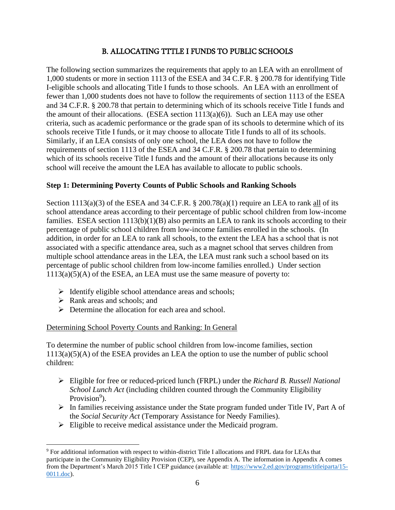# B. ALLOCATING TTTLE I FUNDS TO PUBLIC SCHOOLS

<span id="page-7-0"></span>The following section summarizes the requirements that apply to an LEA with an enrollment of 1,000 students or more in section 1113 of the ESEA and 34 C.F.R. § 200.78 for identifying Title I-eligible schools and allocating Title I funds to those schools. An LEA with an enrollment of fewer than 1,000 students does not have to follow the requirements of section 1113 of the ESEA and 34 C.F.R. § 200.78 that pertain to determining which of its schools receive Title I funds and the amount of their allocations. (ESEA section  $1113(a)(6)$ ). Such an LEA may use other criteria, such as academic performance or the grade span of its schools to determine which of its schools receive Title I funds, or it may choose to allocate Title I funds to all of its schools. Similarly, if an LEA consists of only one school, the LEA does not have to follow the requirements of section 1113 of the ESEA and 34 C.F.R. § 200.78 that pertain to determining which of its schools receive Title I funds and the amount of their allocations because its only school will receive the amount the LEA has available to allocate to public schools.

# <span id="page-7-1"></span>**Step 1: Determining Poverty Counts of Public Schools and Ranking Schools**

Section  $1113(a)(3)$  of the ESEA and 34 C.F.R. § 200.78(a)(1) require an LEA to rank all of its school attendance areas according to their percentage of public school children from low-income families. ESEA section  $1113(b)(1)(B)$  also permits an LEA to rank its schools according to their percentage of public school children from low-income families enrolled in the schools. (In addition, in order for an LEA to rank all schools, to the extent the LEA has a school that is not associated with a specific attendance area, such as a magnet school that serves children from multiple school attendance areas in the LEA, the LEA must rank such a school based on its percentage of public school children from low-income families enrolled.) Under section  $1113(a)(5)(A)$  of the ESEA, an LEA must use the same measure of poverty to:

- $\triangleright$  Identify eligible school attendance areas and schools;
- ➢ Rank areas and schools; and
- ➢ Determine the allocation for each area and school.

# Determining School Poverty Counts and Ranking: In General

To determine the number of public school children from low-income families, section  $1113(a)(5)(A)$  of the ESEA provides an LEA the option to use the number of public school children:

- ➢ Eligible for free or reduced-priced lunch (FRPL) under the *Richard B. Russell National School Lunch Act* (including children counted through the Community Eligibility Provision<sup>9</sup>).
- $\triangleright$  In families receiving assistance under the State program funded under Title IV, Part A of the *Social Security Act* (Temporary Assistance for Needy Families).
- ➢ Eligible to receive medical assistance under the Medicaid program.

<sup>9</sup> For additional information with respect to within-district Title I allocations and FRPL data for LEAs that participate in the Community Eligibility Provision (CEP), see Appendix A. The information in Appendix A comes from the Department's March 2015 Title I CEP guidance (available at: [https://www2.ed.gov/programs/titleiparta/15-](https://www2.ed.gov/programs/titleiparta/15-0011.doc) [0011.doc\)](https://www2.ed.gov/programs/titleiparta/15-0011.doc).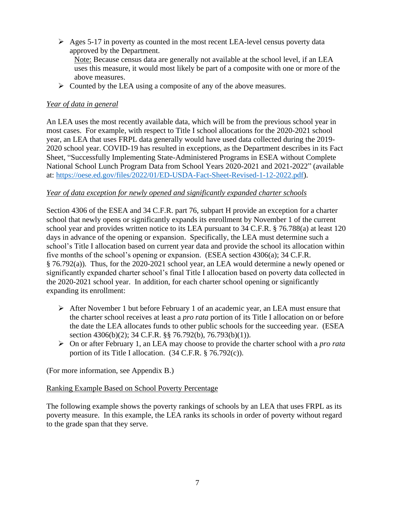- ➢ Ages 5-17 in poverty as counted in the most recent LEA-level census poverty data approved by the Department. Note: Because census data are generally not available at the school level, if an LEA uses this measure, it would most likely be part of a composite with one or more of the above measures.
- $\triangleright$  Counted by the LEA using a composite of any of the above measures.

# *Year of data in general*

An LEA uses the most recently available data, which will be from the previous school year in most cases. For example, with respect to Title I school allocations for the 2020-2021 school year, an LEA that uses FRPL data generally would have used data collected during the 2019- 2020 school year. COVID-19 has resulted in exceptions, as the Department describes in its Fact Sheet, "Successfully Implementing State-Administered Programs in ESEA without Complete National School Lunch Program Data from School Years 2020-2021 and 2021-2022" (available at: [https://oese.ed.gov/files/2022/01/ED-USDA-Fact-Sheet-Revised-1-12-2022.pdf\)](https://oese.ed.gov/files/2022/01/ED-USDA-Fact-Sheet-Revised-1-12-2022.pdf).

#### *Year of data exception for newly opened and significantly expanded charter schools*

Section 4306 of the ESEA and 34 C.F.R. part 76, subpart H provide an exception for a charter school that newly opens or significantly expands its enrollment by November 1 of the current school year and provides written notice to its LEA pursuant to 34 C.F.R. § 76.788(a) at least 120 days in advance of the opening or expansion. Specifically, the LEA must determine such a school's Title I allocation based on current year data and provide the school its allocation within five months of the school's opening or expansion. (ESEA section 4306(a); 34 C.F.R. § 76.792(a)). Thus, for the 2020-2021 school year, an LEA would determine a newly opened or significantly expanded charter school's final Title I allocation based on poverty data collected in the 2020-2021 school year. In addition, for each charter school opening or significantly expanding its enrollment:

- ➢ After November 1 but before February 1 of an academic year, an LEA must ensure that the charter school receives at least a *pro rata* portion of its Title I allocation on or before the date the LEA allocates funds to other public schools for the succeeding year. (ESEA section 4306(b)(2); 34 C.F.R. §§ 76.792(b), 76.793(b)(1)).
- ➢ On or after February 1, an LEA may choose to provide the charter school with a *pro rata*  portion of its Title I allocation. (34 C.F.R. § 76.792(c)).

(For more information, see Appendix B.)

#### Ranking Example Based on School Poverty Percentage

The following example shows the poverty rankings of schools by an LEA that uses FRPL as its poverty measure. In this example, the LEA ranks its schools in order of poverty without regard to the grade span that they serve.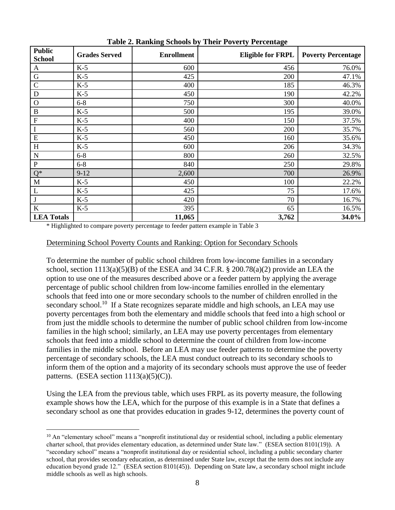| <b>Public</b><br><b>School</b> | <b>Grades Served</b> | <b>Enrollment</b> | <b>Eligible for FRPL</b> | <b>Poverty Percentage</b> |
|--------------------------------|----------------------|-------------------|--------------------------|---------------------------|
| A                              | $K-5$                | 600               | 456                      | 76.0%                     |
| G                              | $K-5$                | 425               | 200                      | 47.1%                     |
| $\mathcal{C}$                  | $K-5$                | 400               | 185                      | 46.3%                     |
| D                              | $K-5$                | 450               | 190                      | 42.2%                     |
| $\mathbf O$                    | $6 - 8$              | 750               | 300                      | 40.0%                     |
| $\, {\bf B}$                   | $K-5$                | 500               | 195                      | 39.0%                     |
| $\mathbf F$                    | $K-5$                | 400               | 150                      | 37.5%                     |
| $\mathbf I$                    | $K-5$                | 560               | 200                      | 35.7%                     |
| E                              | $K-5$                | 450               | 160                      | 35.6%                     |
| H                              | $K-5$                | 600               | 206                      | 34.3%                     |
| N                              | $6 - 8$              | 800               | 260                      | 32.5%                     |
| ${\bf P}$                      | $6 - 8$              | 840               | 250                      | 29.8%                     |
| $Q^*$                          | $9 - 12$             | 2,600             | 700                      | 26.9%                     |
| M                              | $K-5$                | 450               | 100                      | 22.2%                     |
| L                              | $K-5$                | 425               | 75                       | 17.6%                     |
| J                              | $K-5$                | 420               | 70                       | 16.7%                     |
| $\bf K$                        | $K-5$                | 395               | 65                       | 16.5%                     |
| <b>LEA Totals</b>              |                      | 11,065            | 3,762                    | 34.0%                     |

**Table 2. Ranking Schools by Their Poverty Percentage**

\* Highlighted to compare poverty percentage to feeder pattern example in Table 3

# Determining School Poverty Counts and Ranking: Option for Secondary Schools

To determine the number of public school children from low-income families in a secondary school, section  $1113(a)(5)(B)$  of the ESEA and 34 C.F.R. § 200.78(a)(2) provide an LEA the option to use one of the measures described above or a feeder pattern by applying the average percentage of public school children from low-income families enrolled in the elementary schools that feed into one or more secondary schools to the number of children enrolled in the secondary school.<sup>10</sup> If a State recognizes separate middle and high schools, an LEA may use poverty percentages from both the elementary and middle schools that feed into a high school or from just the middle schools to determine the number of public school children from low-income families in the high school; similarly, an LEA may use poverty percentages from elementary schools that feed into a middle school to determine the count of children from low-income families in the middle school. Before an LEA may use feeder patterns to determine the poverty percentage of secondary schools, the LEA must conduct outreach to its secondary schools to inform them of the option and a majority of its secondary schools must approve the use of feeder patterns. (ESEA section  $1113(a)(5)(C)$ ).

Using the LEA from the previous table, which uses FRPL as its poverty measure, the following example shows how the LEA, which for the purpose of this example is in a State that defines a secondary school as one that provides education in grades 9-12, determines the poverty count of

 $10$  An "elementary school" means a "nonprofit institutional day or residential school, including a public elementary charter school, that provides elementary education, as determined under State law." (ESEA section 8101(19)). A "secondary school" means a "nonprofit institutional day or residential school, including a public secondary charter school, that provides secondary education, as determined under State law, except that the term does not include any education beyond grade 12." (ESEA section 8101(45)). Depending on State law, a secondary school might include middle schools as well as high schools.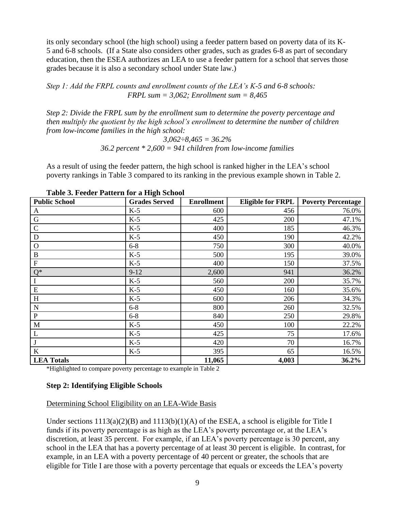its only secondary school (the high school) using a feeder pattern based on poverty data of its K-5 and 6-8 schools. (If a State also considers other grades, such as grades 6-8 as part of secondary education, then the ESEA authorizes an LEA to use a feeder pattern for a school that serves those grades because it is also a secondary school under State law.)

*Step 1: Add the FRPL counts and enrollment counts of the LEA's K-5 and 6-8 schools: FRPL sum = 3,062; Enrollment sum = 8,465*

*Step 2: Divide the FRPL sum by the enrollment sum to determine the poverty percentage and then multiply the quotient by the high school's enrollment to determine the number of children from low-income families in the high school:*

> *3,062÷8,465 = 36.2% 36.2 percent \* 2,600 = 941 children from low-income families*

As a result of using the feeder pattern, the high school is ranked higher in the LEA's school poverty rankings in Table 3 compared to its ranking in the previous example shown in Table 2.

| <b>Public School</b> | ັ<br><b>Grades Served</b> | <b>Enrollment</b> | <b>Eligible for FRPL</b> | <b>Poverty Percentage</b> |
|----------------------|---------------------------|-------------------|--------------------------|---------------------------|
| A                    | $K-5$                     | 600               | 456                      | 76.0%                     |
| G                    | $K-5$                     | 425               | 200                      | 47.1%                     |
| $\mathcal{C}$        | $K-5$                     | 400               | 185                      | 46.3%                     |
| D                    | $K-5$                     | 450               | 190                      | 42.2%                     |
| $\mathbf O$          | $6 - 8$                   | 750               | 300                      | 40.0%                     |
| $\, {\bf B}$         | $K-5$                     | 500               | 195                      | 39.0%                     |
| ${\bf F}$            | $K-5$                     | 400               | 150                      | 37.5%                     |
| $Q^*$                | $9 - 12$                  | 2,600             | 941                      | 36.2%                     |
|                      | $K-5$                     | 560               | 200                      | 35.7%                     |
| ${\bf E}$            | $K-5$                     | 450               | 160                      | 35.6%                     |
| H                    | $K-5$                     | 600               | 206                      | 34.3%                     |
| N                    | $6 - 8$                   | 800               | 260                      | 32.5%                     |
| ${\bf P}$            | $6 - 8$                   | 840               | 250                      | 29.8%                     |
| M                    | $K-5$                     | 450               | 100                      | 22.2%                     |
| L                    | $K-5$                     | 425               | 75                       | 17.6%                     |
|                      | $K-5$                     | 420               | 70                       | 16.7%                     |
| $\bf K$              | $K-5$                     | 395               | 65                       | 16.5%                     |
| <b>LEA Totals</b>    |                           | 11,065            | 4,003                    | 36.2%                     |

**Table 3. Feeder Pattern for a High School**

<span id="page-10-0"></span>\*Highlighted to compare poverty percentage to example in Table 2

#### **Step 2: Identifying Eligible Schools**

#### Determining School Eligibility on an LEA-Wide Basis

Under sections  $1113(a)(2)(B)$  and  $1113(b)(1)(A)$  of the ESEA, a school is eligible for Title I funds if its poverty percentage is as high as the LEA's poverty percentage or, at the LEA's discretion, at least 35 percent. For example, if an LEA's poverty percentage is 30 percent, any school in the LEA that has a poverty percentage of at least 30 percent is eligible. In contrast, for example, in an LEA with a poverty percentage of 40 percent or greater, the schools that are eligible for Title I are those with a poverty percentage that equals or exceeds the LEA's poverty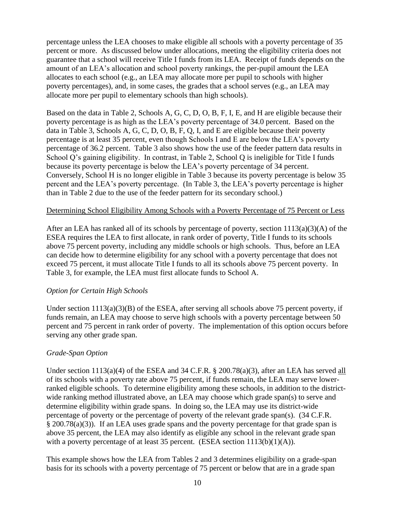percentage unless the LEA chooses to make eligible all schools with a poverty percentage of 35 percent or more. As discussed below under allocations, meeting the eligibility criteria does not guarantee that a school will receive Title I funds from its LEA. Receipt of funds depends on the amount of an LEA's allocation and school poverty rankings, the per-pupil amount the LEA allocates to each school (e.g., an LEA may allocate more per pupil to schools with higher poverty percentages), and, in some cases, the grades that a school serves (e.g., an LEA may allocate more per pupil to elementary schools than high schools).

Based on the data in Table 2, Schools A, G, C, D, O, B, F, I, E, and H are eligible because their poverty percentage is as high as the LEA's poverty percentage of 34.0 percent. Based on the data in Table 3, Schools A, G, C, D, O, B, F, Q, I, and E are eligible because their poverty percentage is at least 35 percent, even though Schools I and E are below the LEA's poverty percentage of 36.2 percent. Table 3 also shows how the use of the feeder pattern data results in School Q's gaining eligibility. In contrast, in Table 2, School Q is ineligible for Title I funds because its poverty percentage is below the LEA's poverty percentage of 34 percent. Conversely, School H is no longer eligible in Table 3 because its poverty percentage is below 35 percent and the LEA's poverty percentage. (In Table 3, the LEA's poverty percentage is higher than in Table 2 due to the use of the feeder pattern for its secondary school.)

#### Determining School Eligibility Among Schools with a Poverty Percentage of 75 Percent or Less

After an LEA has ranked all of its schools by percentage of poverty, section  $1113(a)(3)(A)$  of the ESEA requires the LEA to first allocate, in rank order of poverty, Title I funds to its schools above 75 percent poverty, including any middle schools or high schools. Thus, before an LEA can decide how to determine eligibility for any school with a poverty percentage that does not exceed 75 percent, it must allocate Title I funds to all its schools above 75 percent poverty. In Table 3, for example, the LEA must first allocate funds to School A.

#### *Option for Certain High Schools*

Under section 1113(a)(3)(B) of the ESEA, after serving all schools above 75 percent poverty, if funds remain, an LEA may choose to serve high schools with a poverty percentage between 50 percent and 75 percent in rank order of poverty. The implementation of this option occurs before serving any other grade span.

#### *Grade-Span Option*

Under section  $1113(a)(4)$  of the ESEA and 34 C.F.R. § 200.78(a)(3), after an LEA has served all of its schools with a poverty rate above 75 percent, if funds remain, the LEA may serve lowerranked eligible schools. To determine eligibility among these schools, in addition to the districtwide ranking method illustrated above, an LEA may choose which grade span(s) to serve and determine eligibility within grade spans. In doing so, the LEA may use its district-wide percentage of poverty or the percentage of poverty of the relevant grade span(s). (34 C.F.R. § 200.78(a)(3)). If an LEA uses grade spans and the poverty percentage for that grade span is above 35 percent, the LEA may also identify as eligible any school in the relevant grade span with a poverty percentage of at least 35 percent. (ESEA section  $1113(b)(1)(A)$ ).

This example shows how the LEA from Tables 2 and 3 determines eligibility on a grade-span basis for its schools with a poverty percentage of 75 percent or below that are in a grade span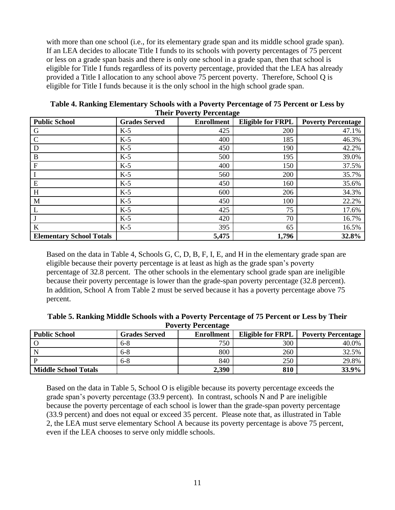with more than one school (i.e., for its elementary grade span and its middle school grade span). If an LEA decides to allocate Title I funds to its schools with poverty percentages of 75 percent or less on a grade span basis and there is only one school in a grade span, then that school is eligible for Title I funds regardless of its poverty percentage, provided that the LEA has already provided a Title I allocation to any school above 75 percent poverty. Therefore, School Q is eligible for Title I funds because it is the only school in the high school grade span.

| <b>Public School</b>            | <b>Grades Served</b> | <b>Enrollment</b> | <b>Eligible for FRPL</b> | <b>Poverty Percentage</b> |
|---------------------------------|----------------------|-------------------|--------------------------|---------------------------|
| G                               | $K-5$                | 425               | 200                      | 47.1%                     |
|                                 | $K-5$                | 400               | 185                      | 46.3%                     |
| D                               | $K-5$                | 450               | 190                      | 42.2%                     |
| B                               | $K-5$                | 500               | 195                      | 39.0%                     |
| $\mathbf{F}$                    | $K-5$                | 400               | 150                      | 37.5%                     |
|                                 | $K-5$                | 560               | 200                      | 35.7%                     |
| E                               | $K-5$                | 450               | 160                      | 35.6%                     |
| H                               | $K-5$                | 600               | 206                      | 34.3%                     |
| M                               | $K-5$                | 450               | 100                      | 22.2%                     |
|                                 | $K-5$                | 425               | 75                       | 17.6%                     |
|                                 | $K-5$                | 420               | 70                       | 16.7%                     |
| $\bf K$                         | $K-5$                | 395               | 65                       | 16.5%                     |
| <b>Elementary School Totals</b> |                      | 5,475             | 1,796                    | 32.8%                     |

**Table 4. Ranking Elementary Schools with a Poverty Percentage of 75 Percent or Less by Their Poverty Percentage**

Based on the data in Table 4, Schools G, C, D, B, F, I, E, and H in the elementary grade span are eligible because their poverty percentage is at least as high as the grade span's poverty percentage of 32.8 percent. The other schools in the elementary school grade span are ineligible because their poverty percentage is lower than the grade-span poverty percentage (32.8 percent). In addition, School A from Table 2 must be served because it has a poverty percentage above 75 percent.

**Table 5. Ranking Middle Schools with a Poverty Percentage of 75 Percent or Less by Their Poverty Percentage**

| <b>Public School</b>        | <b>Grades Served</b> | <b>Enrollment</b> | <b>Eligible for FRPL</b> | <b>Poverty Percentage</b> |  |  |  |  |
|-----------------------------|----------------------|-------------------|--------------------------|---------------------------|--|--|--|--|
|                             | $6-8$                | 750               | 300                      | 40.0%                     |  |  |  |  |
|                             | $6-8$                | 800               | 260                      | 32.5%                     |  |  |  |  |
|                             | $6-8$                | 840               | 250                      | 29.8%                     |  |  |  |  |
| <b>Middle School Totals</b> |                      | 2,390             | 810                      | <b>33.9%</b>              |  |  |  |  |

Based on the data in Table 5, School O is eligible because its poverty percentage exceeds the grade span's poverty percentage (33.9 percent). In contrast, schools N and P are ineligible because the poverty percentage of each school is lower than the grade-span poverty percentage (33.9 percent) and does not equal or exceed 35 percent. Please note that, as illustrated in Table 2, the LEA must serve elementary School A because its poverty percentage is above 75 percent, even if the LEA chooses to serve only middle schools.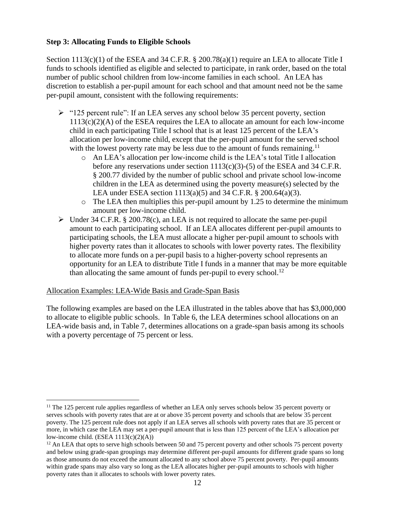# <span id="page-13-0"></span>**Step 3: Allocating Funds to Eligible Schools**

Section 1113(c)(1) of the ESEA and 34 C.F.R. § 200.78(a)(1) require an LEA to allocate Title I funds to schools identified as eligible and selected to participate, in rank order, based on the total number of public school children from low-income families in each school. An LEA has discretion to establish a per-pupil amount for each school and that amount need not be the same per-pupil amount, consistent with the following requirements:

- $\ge$  "125 percent rule": If an LEA serves any school below 35 percent poverty, section  $1113(c)(2)(A)$  of the ESEA requires the LEA to allocate an amount for each low-income child in each participating Title I school that is at least 125 percent of the LEA's allocation per low-income child, except that the per-pupil amount for the served school with the lowest poverty rate may be less due to the amount of funds remaining.<sup>11</sup>
	- o An LEA's allocation per low-income child is the LEA's total Title I allocation before any reservations under section  $1113(c)(3)-(5)$  of the ESEA and 34 C.F.R. § 200.77 divided by the number of public school and private school low-income children in the LEA as determined using the poverty measure(s) selected by the LEA under ESEA section 1113(a)(5) and 34 C.F.R. § 200.64(a)(3).
	- o The LEA then multiplies this per-pupil amount by 1.25 to determine the minimum amount per low-income child.
- ➢ Under 34 C.F.R. § 200.78(c), an LEA is not required to allocate the same per-pupil amount to each participating school. If an LEA allocates different per-pupil amounts to participating schools, the LEA must allocate a higher per-pupil amount to schools with higher poverty rates than it allocates to schools with lower poverty rates. The flexibility to allocate more funds on a per-pupil basis to a higher-poverty school represents an opportunity for an LEA to distribute Title I funds in a manner that may be more equitable than allocating the same amount of funds per-pupil to every school.<sup>12</sup>

#### Allocation Examples: LEA-Wide Basis and Grade-Span Basis

The following examples are based on the LEA illustrated in the tables above that has \$3,000,000 to allocate to eligible public schools. In Table 6, the LEA determines school allocations on an LEA-wide basis and, in Table 7, determines allocations on a grade-span basis among its schools with a poverty percentage of 75 percent or less.

<sup>&</sup>lt;sup>11</sup> The 125 percent rule applies regardless of whether an LEA only serves schools below 35 percent poverty or serves schools with poverty rates that are at or above 35 percent poverty and schools that are below 35 percent poverty. The 125 percent rule does not apply if an LEA serves all schools with poverty rates that are 35 percent or more, in which case the LEA may set a per-pupil amount that is less than 125 percent of the LEA's allocation per low-income child.  $(ESEA 1113(c)(2)(A))$ 

<sup>&</sup>lt;sup>12</sup> An LEA that opts to serve high schools between 50 and 75 percent poverty and other schools 75 percent poverty and below using grade-span groupings may determine different per-pupil amounts for different grade spans so long as those amounts do not exceed the amount allocated to any school above 75 percent poverty. Per-pupil amounts within grade spans may also vary so long as the LEA allocates higher per-pupil amounts to schools with higher poverty rates than it allocates to schools with lower poverty rates.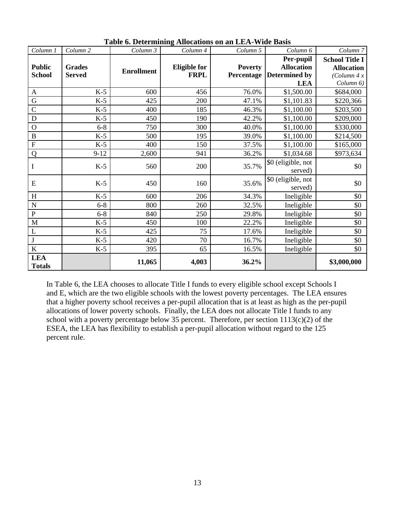| Column 1                    | Column <sub>2</sub> | Column 3          | Column 4            | Column 5       | Column 6             | Column <sub>7</sub>   |
|-----------------------------|---------------------|-------------------|---------------------|----------------|----------------------|-----------------------|
|                             |                     |                   |                     |                | Per-pupil            | <b>School Title I</b> |
| <b>Public</b>               | <b>Grades</b>       | <b>Enrollment</b> | <b>Eligible for</b> | <b>Poverty</b> | <b>Allocation</b>    | <b>Allocation</b>     |
| <b>School</b>               | <b>Served</b>       |                   | <b>FRPL</b>         | Percentage     | <b>Determined by</b> | (Column 4 x)          |
|                             |                     |                   |                     |                | <b>LEA</b>           | Column 6)             |
| A                           | $K-5$               | 600               | 456                 | 76.0%          | \$1,500.00           | \$684,000             |
| G                           | $K-5$               | 425               | 200                 | 47.1%          | \$1,101.83           | \$220,366             |
| $\mathsf{C}$                | $K-5$               | 400               | 185                 | 46.3%          | \$1,100.00           | \$203,500             |
| D                           | $K-5$               | 450               | 190                 | 42.2%          | \$1,100.00           | \$209,000             |
| $\mathbf{O}$                | $6 - 8$             | 750               | 300                 | 40.0%          | \$1,100.00           | \$330,000             |
| $\, {\bf B}$                | $K-5$               | 500               | 195                 | 39.0%          | \$1,100.00           | \$214,500             |
| $\mathbf F$                 | $K-5$               | 400               | 150                 | 37.5%          | \$1,100.00           | \$165,000             |
| Q                           | $9-12$              | 2,600             | 941                 | 36.2%          | \$1,034.68           | \$973,634             |
| $\bf I$                     | $K-5$               | 560               |                     | 35.7%          | \$0 (eligible, not   | \$0                   |
|                             |                     |                   | 200                 |                | served)              |                       |
| E                           | $K-5$               | 450               | 160                 | 35.6%          | \$0 (eligible, not   | \$0                   |
|                             |                     |                   |                     |                | served)              |                       |
| H                           | $K-5$               | 600               | 206                 | 34.3%          | Ineligible           | \$0                   |
| $\mathbf N$                 | $6 - 8$             | 800               | 260                 | 32.5%          | Ineligible           | \$0                   |
| ${\bf P}$                   | $6 - 8$             | 840               | 250                 | 29.8%          | Ineligible           | \$0                   |
| $\mathbf{M}$                | $K-5$               | 450               | 100                 | 22.2%          | Ineligible           | \$0                   |
| L                           | $K-5$               | 425               | 75                  | 17.6%          | Ineligible           | \$0                   |
| $\bf J$                     | $K-5$               | 420               | 70                  | 16.7%          | Ineligible           | \$0                   |
| $\bf K$                     | $K-5$               | 395               | 65                  | 16.5%          | Ineligible           | \$0                   |
| <b>LEA</b><br><b>Totals</b> |                     | 11,065            | 4,003               | 36.2%          |                      | \$3,000,000           |

**Table 6. Determining Allocations on an LEA-Wide Basis**

In Table 6, the LEA chooses to allocate Title I funds to every eligible school except Schools I and E, which are the two eligible schools with the lowest poverty percentages. The LEA ensures that a higher poverty school receives a per-pupil allocation that is at least as high as the per-pupil allocations of lower poverty schools. Finally, the LEA does not allocate Title I funds to any school with a poverty percentage below 35 percent. Therefore, per section  $1113(c)(2)$  of the ESEA, the LEA has flexibility to establish a per-pupil allocation without regard to the 125 percent rule.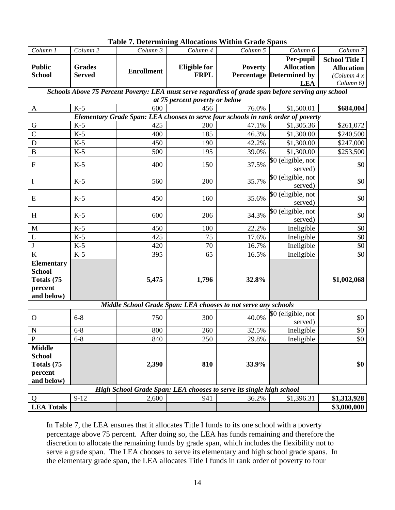|                                                  |                   | Table 7. Determining Amocanons Within Grade Spans |                                |                                                                                                     |                                 |                       |
|--------------------------------------------------|-------------------|---------------------------------------------------|--------------------------------|-----------------------------------------------------------------------------------------------------|---------------------------------|-----------------------|
| Column 1                                         | Column 2          | Column 3                                          | Column 4                       | Column 5                                                                                            | Column 6                        | Column 7              |
|                                                  |                   |                                                   |                                |                                                                                                     | Per-pupil                       | <b>School Title I</b> |
| <b>Public</b>                                    | <b>Grades</b>     | <b>Enrollment</b>                                 | <b>Eligible for</b>            | <b>Poverty</b>                                                                                      | <b>Allocation</b>               | <b>Allocation</b>     |
| <b>School</b>                                    | <b>Served</b>     |                                                   | <b>FRPL</b>                    |                                                                                                     | <b>Percentage Determined by</b> | (Column 4 x)          |
|                                                  |                   |                                                   |                                |                                                                                                     | <b>LEA</b>                      | Column 6)             |
|                                                  |                   |                                                   | at 75 percent poverty or below | Schools Above 75 Percent Poverty: LEA must serve regardless of grade span before serving any school |                                 |                       |
| $\mathbf{A}$                                     | $K-5$             | 600                                               | 456                            | 76.0%                                                                                               | \$1,500.01                      | \$684,004             |
|                                                  |                   |                                                   |                                | Elementary Grade Span: LEA chooses to serve four schools in rank order of poverty                   |                                 |                       |
| G                                                | $K-5$             | 425                                               | 200                            | 47.1%                                                                                               | \$1,305.36                      | \$261,072             |
| $\mathbf C$                                      |                   |                                                   |                                |                                                                                                     |                                 |                       |
|                                                  | $K-5$             | 400                                               | 185                            | 46.3%                                                                                               | \$1,300.00                      | \$240,500             |
| D                                                | $K-5$             | 450                                               | 190                            | 42.2%                                                                                               | \$1,300.00                      | \$247,000             |
| $\overline{B}$                                   | $K-5$             | 500                                               | 195                            | 39.0%                                                                                               | \$1,300.00                      | \$253,500             |
| $\mathbf F$                                      | $K-5$             | 400                                               | 150                            | 37.5%                                                                                               | \$0 (eligible, not<br>served)   | \$0                   |
| I                                                | $K-5$             | 560                                               | 200                            | 35.7%                                                                                               | \$0 (eligible, not<br>served)   | \$0                   |
| E                                                | $K-5$             | 450                                               | 160                            | 35.6%                                                                                               | \$0 (eligible, not<br>served)   | \$0                   |
| H                                                | $K-5$             | 600                                               | 206                            | 34.3%                                                                                               | \$0 (eligible, not<br>served)   | \$0                   |
| M                                                | $K-5$             | 450                                               | 100                            | 22.2%                                                                                               | Ineligible                      | \$0                   |
| $\overline{L}$                                   | $K-5$             | 425                                               | 75                             | 17.6%                                                                                               | Ineligible                      | \$0                   |
| $\bf J$                                          | $K-5$             | 420                                               | 70                             | 16.7%                                                                                               | Ineligible                      | $\$0$                 |
| $\overline{\mathbf{K}}$                          | $K-5$             | 395                                               | 65                             | 16.5%                                                                                               | Ineligible                      | \$0                   |
| <b>Elementary</b><br><b>School</b><br>Totals (75 |                   | 5,475                                             | 1,796                          | 32.8%                                                                                               |                                 | \$1,002,068           |
| percent                                          |                   |                                                   |                                |                                                                                                     |                                 |                       |
| and below)                                       |                   |                                                   |                                |                                                                                                     |                                 |                       |
|                                                  |                   |                                                   |                                | Middle School Grade Span: LEA chooses to not serve any schools                                      |                                 |                       |
| $\mathbf{O}$                                     | $6 - 8$           | 750                                               | 300                            | 40.0%                                                                                               | \$0 (eligible, not<br>served)   | \$0                   |
| $\mathbf N$                                      | $6 - 8$           | 800                                               | 260                            | 32.5%                                                                                               | Ineligible                      | $\$0$                 |
| $\mathbf{P}$                                     | $6 - 8$           | 840                                               | 250                            | 29.8%                                                                                               | Ineligible                      | \$0                   |
| <b>Middle</b>                                    |                   |                                                   |                                |                                                                                                     |                                 |                       |
| <b>School</b>                                    |                   |                                                   |                                |                                                                                                     |                                 |                       |
| Totals (75                                       |                   | 2,390                                             | 810                            | 33.9%                                                                                               |                                 | \$0                   |
|                                                  |                   |                                                   |                                |                                                                                                     |                                 |                       |
| percent                                          |                   |                                                   |                                |                                                                                                     |                                 |                       |
| and below)                                       |                   |                                                   |                                |                                                                                                     |                                 |                       |
|                                                  |                   |                                                   |                                | High School Grade Span: LEA chooses to serve its single high school                                 |                                 |                       |
| Q                                                | $\overline{9-12}$ | 2,600                                             | 941                            | 36.2%                                                                                               | \$1,396.31                      | \$1,313,928           |
| <b>LEA Totals</b>                                |                   |                                                   |                                |                                                                                                     |                                 | \$3,000,000           |

**Table 7. Determining Allocations Within Grade Spans**

In Table 7, the LEA ensures that it allocates Title I funds to its one school with a poverty percentage above 75 percent. After doing so, the LEA has funds remaining and therefore the discretion to allocate the remaining funds by grade span, which includes the flexibility not to serve a grade span. The LEA chooses to serve its elementary and high school grade spans. In the elementary grade span, the LEA allocates Title I funds in rank order of poverty to four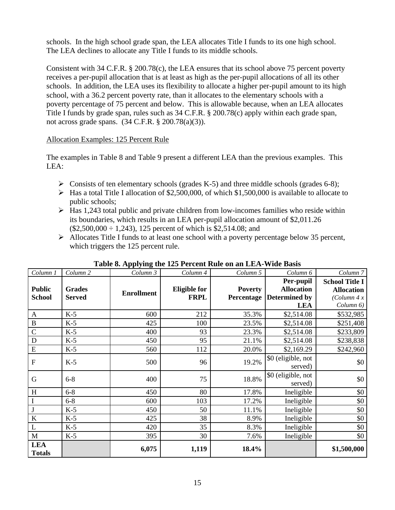schools. In the high school grade span, the LEA allocates Title I funds to its one high school. The LEA declines to allocate any Title I funds to its middle schools.

Consistent with 34 C.F.R. § 200.78(c), the LEA ensures that its school above 75 percent poverty receives a per-pupil allocation that is at least as high as the per-pupil allocations of all its other schools. In addition, the LEA uses its flexibility to allocate a higher per-pupil amount to its high school, with a 36.2 percent poverty rate, than it allocates to the elementary schools with a poverty percentage of 75 percent and below. This is allowable because, when an LEA allocates Title I funds by grade span, rules such as 34 C.F.R. § 200.78(c) apply within each grade span, not across grade spans. (34 C.F.R. § 200.78(a)(3)).

## Allocation Examples: 125 Percent Rule

The examples in Table 8 and Table 9 present a different LEA than the previous examples. This LEA:

- $\triangleright$  Consists of ten elementary schools (grades K-5) and three middle schools (grades 6-8);
- ➢ Has a total Title I allocation of \$2,500,000, of which \$1,500,000 is available to allocate to public schools;
- $\triangleright$  Has 1,243 total public and private children from low-incomes families who reside within its boundaries, which results in an LEA per-pupil allocation amount of \$2,011.26  $(\$2,500,000 \div 1,243)$ , 125 percent of which is \$2,514.08; and
- ➢ Allocates Title I funds to at least one school with a poverty percentage below 35 percent, which triggers the 125 percent rule.

| Column 1                       | Column <sub>2</sub>            | Column 3          | Column 4                           | Column 5                     | Column 6                                               | Column <sub>7</sub>                                               |  |
|--------------------------------|--------------------------------|-------------------|------------------------------------|------------------------------|--------------------------------------------------------|-------------------------------------------------------------------|--|
| <b>Public</b><br><b>School</b> | <b>Grades</b><br><b>Served</b> | <b>Enrollment</b> | <b>Eligible for</b><br><b>FRPL</b> | <b>Poverty</b><br>Percentage | Per-pupil<br><b>Allocation</b><br><b>Determined by</b> | <b>School Title I</b><br><b>Allocation</b><br>$\left($ Column 4 x |  |
|                                |                                |                   |                                    |                              | <b>LEA</b>                                             | Column 6)                                                         |  |
| A                              | $K-5$                          | 600               | 212                                | 35.3%                        | \$2,514.08                                             | \$532,985                                                         |  |
| $\, {\bf B}$                   | $K-5$                          | 425               | 100                                | 23.5%                        | \$2,514.08                                             | \$251,408                                                         |  |
| $\mathcal{C}$                  | $K-5$                          | 400               | 93                                 | 23.3%                        | \$2,514.08                                             | \$233,809                                                         |  |
| $\mathbf D$                    | $K-5$                          | 450               | 95                                 | 21.1%                        | \$2,514.08                                             | \$238,838                                                         |  |
| E                              | $K-5$                          | 560               | 112                                | 20.0%                        | \$2,169.29                                             | \$242,960                                                         |  |
| $\overline{F}$                 | $K-5$                          | 500               | 96                                 | 19.2%                        | \$0 (eligible, not                                     | \$0                                                               |  |
|                                |                                |                   |                                    |                              | served)                                                |                                                                   |  |
| G                              | $6 - 8$                        | 400               | 75                                 | 18.8%                        | \$0 (eligible, not                                     | \$0                                                               |  |
|                                |                                |                   |                                    |                              |                                                        | served)                                                           |  |
| H                              | $6 - 8$                        | 450               | 80                                 | 17.8%                        | Ineligible                                             | \$0                                                               |  |
|                                | $6 - 8$                        | 600               | 103                                | 17.2%                        | Ineligible                                             | \$0                                                               |  |
|                                | $K-5$                          | 450               | 50                                 | 11.1%                        | Ineligible                                             | \$0                                                               |  |
| $\bf K$                        | $K-5$                          | 425               | 38                                 | 8.9%                         | Ineligible                                             | \$0                                                               |  |
| L                              | $K-5$                          | 420               | 35                                 | 8.3%                         | Ineligible                                             | \$0                                                               |  |
| M                              | $K-5$                          | 395               | 30                                 | 7.6%                         | Ineligible                                             | \$0                                                               |  |
| <b>LEA</b><br><b>Totals</b>    |                                | 6,075             | 1,119                              | 18.4%                        |                                                        | \$1,500,000                                                       |  |

#### **Table 8. Applying the 125 Percent Rule on an LEA-Wide Basis**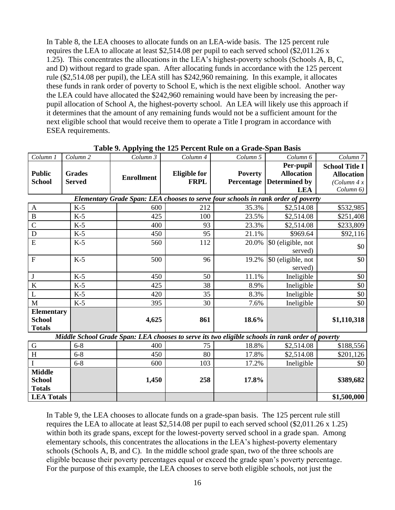In Table 8, the LEA chooses to allocate funds on an LEA-wide basis. The 125 percent rule requires the LEA to allocate at least \$2,514.08 per pupil to each served school (\$2,011.26 x 1.25). This concentrates the allocations in the LEA's highest-poverty schools (Schools A, B, C, and D) without regard to grade span. After allocating funds in accordance with the 125 percent rule (\$2,514.08 per pupil), the LEA still has \$242,960 remaining. In this example, it allocates these funds in rank order of poverty to School E, which is the next eligible school. Another way the LEA could have allocated the \$242,960 remaining would have been by increasing the perpupil allocation of School A, the highest-poverty school. An LEA will likely use this approach if it determines that the amount of any remaining funds would not be a sufficient amount for the next eligible school that would receive them to operate a Title I program in accordance with ESEA requirements.

| Column 1          | Column <sub>2</sub>                                                               | Column 3                                                                                         | Column 4            | Column 5       | Column 6             | Column <sub>7</sub>   |  |  |  |  |
|-------------------|-----------------------------------------------------------------------------------|--------------------------------------------------------------------------------------------------|---------------------|----------------|----------------------|-----------------------|--|--|--|--|
|                   |                                                                                   |                                                                                                  |                     |                | Per-pupil            | <b>School Title I</b> |  |  |  |  |
| <b>Public</b>     | <b>Grades</b>                                                                     | <b>Enrollment</b>                                                                                | <b>Eligible for</b> | <b>Poverty</b> | <b>Allocation</b>    | <b>Allocation</b>     |  |  |  |  |
| <b>School</b>     | <b>Served</b>                                                                     |                                                                                                  | <b>FRPL</b>         | Percentage     | <b>Determined by</b> | (Column 4 x)          |  |  |  |  |
|                   |                                                                                   |                                                                                                  |                     |                | <b>LEA</b>           | Column 6)             |  |  |  |  |
|                   | Elementary Grade Span: LEA chooses to serve four schools in rank order of poverty |                                                                                                  |                     |                |                      |                       |  |  |  |  |
| $\mathbf{A}$      | $K-5$                                                                             | 600                                                                                              | 212                 | 35.3%          | \$2,514.08           | \$532,985             |  |  |  |  |
| $\, {\bf B}$      | $K-5$                                                                             | 425                                                                                              | 100                 | 23.5%          | \$2,514.08           | \$251,408             |  |  |  |  |
| $\overline{C}$    | $K-5$                                                                             | 400                                                                                              | 93                  | 23.3%          | \$2,514.08           | \$233,809             |  |  |  |  |
| D                 | $K-5$                                                                             | 450                                                                                              | 95                  | 21.1%          | \$969.64             | \$92,116              |  |  |  |  |
| E                 | $K-5$                                                                             | 560                                                                                              | 112                 | 20.0%          | \$0 (eligible, not   | \$0                   |  |  |  |  |
|                   |                                                                                   |                                                                                                  |                     |                | served)              |                       |  |  |  |  |
| $\overline{F}$    | $K-5$                                                                             | 500                                                                                              | 96                  | 19.2%          | \$0 (eligible, not   | \$0                   |  |  |  |  |
|                   |                                                                                   |                                                                                                  |                     |                | served)              |                       |  |  |  |  |
| $\bf J$           | $K-5$                                                                             | 450                                                                                              | 50                  | 11.1%          | Ineligible           | \$0                   |  |  |  |  |
| K                 | $K-5$                                                                             | 425                                                                                              | 38                  | 8.9%           | Ineligible           | \$0                   |  |  |  |  |
| L                 | $K-5$                                                                             | 420                                                                                              | 35                  | 8.3%           | Ineligible           | \$0                   |  |  |  |  |
| M                 | $K-5$                                                                             | 395                                                                                              | 30                  | 7.6%           | Ineligible           | \$0                   |  |  |  |  |
| <b>Elementary</b> |                                                                                   |                                                                                                  |                     |                |                      |                       |  |  |  |  |
| <b>School</b>     |                                                                                   | 4,625                                                                                            | 861                 | 18.6%          |                      | \$1,110,318           |  |  |  |  |
| <b>Totals</b>     |                                                                                   |                                                                                                  |                     |                |                      |                       |  |  |  |  |
|                   |                                                                                   | Middle School Grade Span: LEA chooses to serve its two eligible schools in rank order of poverty |                     |                |                      |                       |  |  |  |  |
| ${\bf G}$         | $6 - 8$                                                                           | 400                                                                                              | 75                  | 18.8%          | \$2,514.08           | \$188,556             |  |  |  |  |
| H                 | $6 - 8$                                                                           | 450                                                                                              | 80                  | 17.8%          | \$2,514.08           | \$201,126             |  |  |  |  |
|                   | $6 - 8$                                                                           | 600                                                                                              | 103                 | 17.2%          | Ineligible           | \$0                   |  |  |  |  |
| <b>Middle</b>     |                                                                                   |                                                                                                  |                     |                |                      |                       |  |  |  |  |
| <b>School</b>     |                                                                                   | 1,450                                                                                            | 258                 | 17.8%          |                      | \$389,682             |  |  |  |  |

|  |  | Table 9. Applying the 125 Percent Rule on a Grade-Span Basis |  |
|--|--|--------------------------------------------------------------|--|
|  |  |                                                              |  |

In Table 9, the LEA chooses to allocate funds on a grade-span basis. The 125 percent rule still requires the LEA to allocate at least \$2,514.08 per pupil to each served school (\$2,011.26 x 1.25) within both its grade spans, except for the lowest-poverty served school in a grade span. Among elementary schools, this concentrates the allocations in the LEA's highest-poverty elementary schools (Schools A, B, and C). In the middle school grade span, two of the three schools are eligible because their poverty percentages equal or exceed the grade span's poverty percentage. For the purpose of this example, the LEA chooses to serve both eligible schools, not just the

**LEA Totals \$1,500,000** 

**Totals**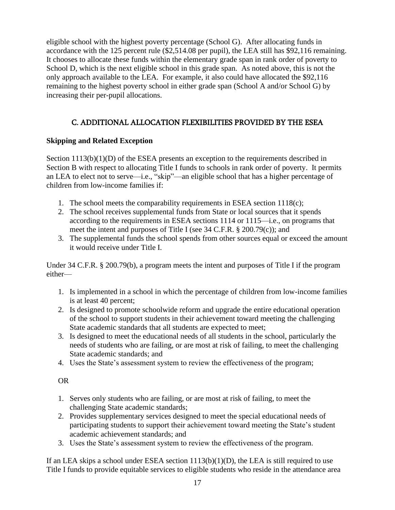eligible school with the highest poverty percentage (School G). After allocating funds in accordance with the 125 percent rule (\$2,514.08 per pupil), the LEA still has \$92,116 remaining. It chooses to allocate these funds within the elementary grade span in rank order of poverty to School D, which is the next eligible school in this grade span. As noted above, this is not the only approach available to the LEA. For example, it also could have allocated the \$92,116 remaining to the highest poverty school in either grade span (School A and/or School G) by increasing their per-pupil allocations.

# C. ADDITIONAL ALLOCATION FLEXIBILITIES PROVIDED BY THE ESEA

# <span id="page-18-1"></span><span id="page-18-0"></span>**Skipping and Related Exception**

Section  $1113(b)(1)(D)$  of the ESEA presents an exception to the requirements described in Section B with respect to allocating Title I funds to schools in rank order of poverty. It permits an LEA to elect not to serve—i.e., "skip"—an eligible school that has a higher percentage of children from low-income families if:

- 1. The school meets the comparability requirements in ESEA section  $1118(c)$ ;
- 2. The school receives supplemental funds from State or local sources that it spends according to the requirements in ESEA sections 1114 or 1115—i.e., on programs that meet the intent and purposes of Title I (see 34 C.F.R. § 200.79(c)); and
- 3. The supplemental funds the school spends from other sources equal or exceed the amount it would receive under Title I.

Under 34 C.F.R. § 200.79(b), a program meets the intent and purposes of Title I if the program either—

- 1. Is implemented in a school in which the percentage of children from low-income families is at least 40 percent;
- 2. Is designed to promote schoolwide reform and upgrade the entire educational operation of the school to support students in their achievement toward meeting the challenging State academic standards that all students are expected to meet;
- 3. Is designed to meet the educational needs of all students in the school, particularly the needs of students who are failing, or are most at risk of failing, to meet the challenging State academic standards; and
- 4. Uses the State's assessment system to review the effectiveness of the program;

# OR

- 1. Serves only students who are failing, or are most at risk of failing, to meet the challenging State academic standards;
- 2. Provides supplementary services designed to meet the special educational needs of participating students to support their achievement toward meeting the State's student academic achievement standards; and
- 3. Uses the State's assessment system to review the effectiveness of the program.

If an LEA skips a school under ESEA section  $1113(b)(1)(D)$ , the LEA is still required to use Title I funds to provide equitable services to eligible students who reside in the attendance area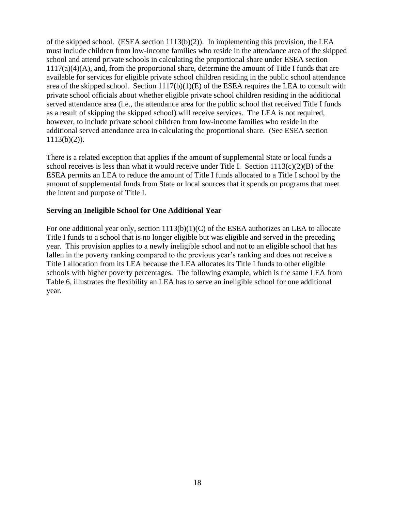of the skipped school. (ESEA section  $1113(b)(2)$ ). In implementing this provision, the LEA must include children from low-income families who reside in the attendance area of the skipped school and attend private schools in calculating the proportional share under ESEA section  $1117(a)(4)(A)$ , and, from the proportional share, determine the amount of Title I funds that are available for services for eligible private school children residing in the public school attendance area of the skipped school. Section  $1117(b)(1)(E)$  of the ESEA requires the LEA to consult with private school officials about whether eligible private school children residing in the additional served attendance area (i.e., the attendance area for the public school that received Title I funds as a result of skipping the skipped school) will receive services. The LEA is not required, however, to include private school children from low-income families who reside in the additional served attendance area in calculating the proportional share. (See ESEA section  $1113(b)(2)$ ).

There is a related exception that applies if the amount of supplemental State or local funds a school receives is less than what it would receive under Title I. Section  $1113(c)(2)(B)$  of the ESEA permits an LEA to reduce the amount of Title I funds allocated to a Title I school by the amount of supplemental funds from State or local sources that it spends on programs that meet the intent and purpose of Title I.

## <span id="page-19-0"></span>**Serving an Ineligible School for One Additional Year**

For one additional year only, section  $1113(b)(1)(C)$  of the ESEA authorizes an LEA to allocate Title I funds to a school that is no longer eligible but was eligible and served in the preceding year. This provision applies to a newly ineligible school and not to an eligible school that has fallen in the poverty ranking compared to the previous year's ranking and does not receive a Title I allocation from its LEA because the LEA allocates its Title I funds to other eligible schools with higher poverty percentages. The following example, which is the same LEA from Table 6, illustrates the flexibility an LEA has to serve an ineligible school for one additional year.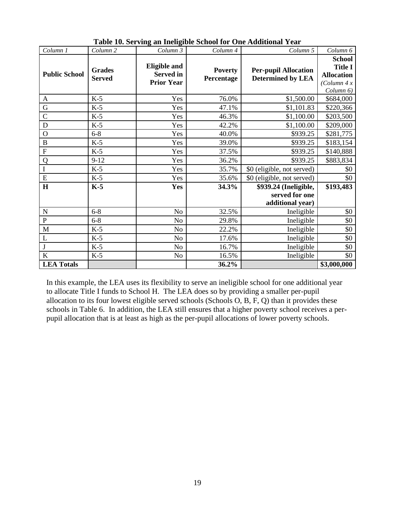| Column 1             | Column <sub>2</sub>            | Column 3                                                     | Column 4                     | Column 5                                                    | Column 6                                                                          |
|----------------------|--------------------------------|--------------------------------------------------------------|------------------------------|-------------------------------------------------------------|-----------------------------------------------------------------------------------|
| <b>Public School</b> | <b>Grades</b><br><b>Served</b> | <b>Eligible and</b><br><b>Served</b> in<br><b>Prior Year</b> | <b>Poverty</b><br>Percentage | <b>Per-pupil Allocation</b><br><b>Determined by LEA</b>     | <b>School</b><br><b>Title I</b><br><b>Allocation</b><br>(Column 4 x)<br>Column 6) |
| $\mathbf{A}$         | $K-5$                          | Yes                                                          | 76.0%                        | \$1,500.00                                                  | \$684,000                                                                         |
| ${\bf G}$            | $K-5$                          | Yes                                                          | 47.1%                        | \$1,101.83                                                  | \$220,366                                                                         |
| $\mathsf{C}$         | $K-5$                          | Yes                                                          | 46.3%                        | \$1,100.00                                                  | \$203,500                                                                         |
| D                    | $K-5$                          | Yes                                                          | 42.2%                        | \$1,100.00                                                  | \$209,000                                                                         |
| $\mathbf O$          | $6 - 8$                        | Yes                                                          | 40.0%                        | \$939.25                                                    | \$281,775                                                                         |
| $\bf{B}$             | $K-5$                          | Yes                                                          | 39.0%                        | \$939.25                                                    | \$183,154                                                                         |
| $\mathbf F$          | $K-5$                          | Yes                                                          | 37.5%                        | \$939.25                                                    | \$140,888                                                                         |
| Q                    | $9 - 12$                       | Yes                                                          | 36.2%                        | \$939.25                                                    | \$883,834                                                                         |
| I                    | $K-5$                          | Yes                                                          | 35.7%                        | \$0 (eligible, not served)                                  | \$0                                                                               |
| ${\bf E}$            | $K-5$                          | Yes                                                          | 35.6%                        | \$0 (eligible, not served)                                  | \$0                                                                               |
| H                    | $K-5$                          | Yes                                                          | 34.3%                        | \$939.24 (Ineligible,<br>served for one<br>additional year) | \$193,483                                                                         |
| $\mathbf N$          | $6 - 8$                        | N <sub>o</sub>                                               | 32.5%                        | Ineligible                                                  | \$0                                                                               |
| ${\bf P}$            | $6 - 8$                        | No                                                           | 29.8%                        | Ineligible                                                  | \$0                                                                               |
| $\mathbf M$          | $K-5$                          | No                                                           | 22.2%                        | Ineligible                                                  | \$0                                                                               |
| L                    | $K-5$                          | N <sub>o</sub>                                               | 17.6%                        | Ineligible                                                  | \$0                                                                               |
| $\bf J$              | $K-5$                          | No                                                           | 16.7%                        | Ineligible                                                  | \$0                                                                               |
| $\bf K$              | $K-5$                          | No                                                           | 16.5%                        | Ineligible                                                  | \$0                                                                               |
| <b>LEA Totals</b>    |                                |                                                              | 36.2%                        |                                                             | \$3,000,000                                                                       |

|  |  |  | Table 10. Serving an Ineligible School for One Additional Year |  |
|--|--|--|----------------------------------------------------------------|--|
|  |  |  |                                                                |  |

In this example, the LEA uses its flexibility to serve an ineligible school for one additional year to allocate Title I funds to School H. The LEA does so by providing a smaller per-pupil allocation to its four lowest eligible served schools (Schools O, B, F, Q) than it provides these schools in Table 6. In addition, the LEA still ensures that a higher poverty school receives a perpupil allocation that is at least as high as the per-pupil allocations of lower poverty schools.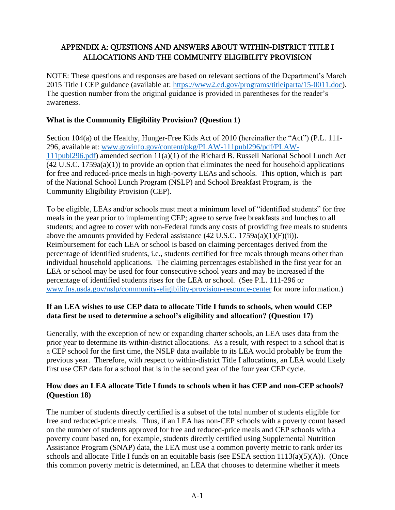# <span id="page-21-0"></span>APPENDIX A: QUESTIONS AND ANSWERS ABOUT WITHIN-DISTRICT TITLE I ALLOCATIONS AND THE COMMUNITY ELIGIBILITY PROVISION

NOTE: These questions and responses are based on relevant sections of the Department's March 2015 Title I CEP guidance (available at: [https://www2.ed.gov/programs/titleiparta/15-0011.doc\)](https://www2.ed.gov/programs/titleiparta/15-0011.doc). The question number from the original guidance is provided in parentheses for the reader's awareness.

# **What is the Community Eligibility Provision? (Question 1)**

Section 104(a) of the Healthy, Hunger-Free Kids Act of 2010 (hereinafter the "Act") (P.L. 111- 296, available at: [www.govinfo.gov/content/pkg/PLAW-111publ296/pdf/PLAW-](http://www.govinfo.gov/content/pkg/PLAW-111publ296/pdf/PLAW-111publ296.pdf)[111publ296.pdf\)](http://www.govinfo.gov/content/pkg/PLAW-111publ296/pdf/PLAW-111publ296.pdf) amended section 11(a)(1) of the Richard B. Russell National School Lunch Act (42 U.S.C. 1759a(a)(1)) to provide an option that eliminates the need for household applications for free and reduced-price meals in high-poverty LEAs and schools. This option, which is part of the National School Lunch Program (NSLP) and School Breakfast Program, is the Community Eligibility Provision (CEP).

To be eligible, LEAs and/or schools must meet a minimum level of "identified students" for free meals in the year prior to implementing CEP; agree to serve free breakfasts and lunches to all students; and agree to cover with non-Federal funds any costs of providing free meals to students above the amounts provided by Federal assistance  $(42 \text{ U.S.C. } 1759a(a)(1)(F)(ii))$ . Reimbursement for each LEA or school is based on claiming percentages derived from the percentage of identified students, i.e., students certified for free meals through means other than individual household applications. The claiming percentages established in the first year for an LEA or school may be used for four consecutive school years and may be increased if the percentage of identified students rises for the LEA or school. (See P.L. 111-296 or [www.fns.usda.gov/nslp/community-eligibility-provision-resource-center](http://www.fns.usda.gov/nslp/community-eligibility-provision-resource-center) for more information.)

# **If an LEA wishes to use CEP data to allocate Title I funds to schools, when would CEP data first be used to determine a school's eligibility and allocation? (Question 17)**

Generally, with the exception of new or expanding charter schools, an LEA uses data from the prior year to determine its within-district allocations. As a result, with respect to a school that is a CEP school for the first time, the NSLP data available to its LEA would probably be from the previous year. Therefore, with respect to within-district Title I allocations, an LEA would likely first use CEP data for a school that is in the second year of the four year CEP cycle.

# **How does an LEA allocate Title I funds to schools when it has CEP and non-CEP schools? (Question 18)**

The number of students directly certified is a subset of the total number of students eligible for free and reduced-price meals. Thus, if an LEA has non-CEP schools with a poverty count based on the number of students approved for free and reduced-price meals and CEP schools with a poverty count based on, for example, students directly certified using Supplemental Nutrition Assistance Program (SNAP) data, the LEA must use a common poverty metric to rank order its schools and allocate Title I funds on an equitable basis (see ESEA section  $1113(a)(5)(A)$ ). (Once this common poverty metric is determined, an LEA that chooses to determine whether it meets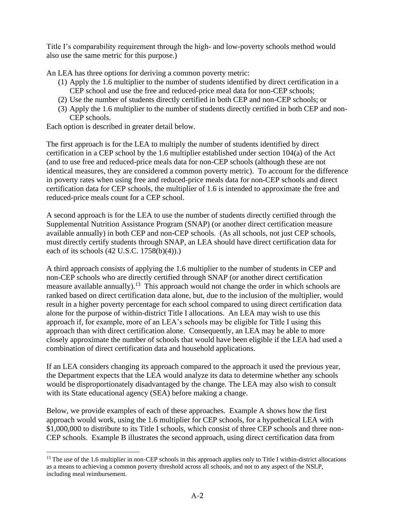Title I's comparability requirement through the high- and low-poverty schools method would also use the same metric for this purpose.)

An LEA has three options for deriving a common poverty metric:

- (1) Apply the 1.6 multiplier to the number of students identified by direct certification in a CEP school and use the free and reduced-price meal data for non-CEP schools;
- (2) Use the number of students directly certified in both CEP and non-CEP schools; or
- (3) Apply the 1.6 multiplier to the number of students directly certified in both CEP and non-CEP schools.

Each option is described in greater detail below.

The first approach is for the LEA to multiply the number of students identified by direct certification in a CEP school by the 1.6 multiplier established under section 104(a) of the Act (and to use free and reduced-price meals data for non-CEP schools (although these are not identical measures, they are considered a common poverty metric). To account for the difference in poverty rates when using free and reduced-price meals data for non-CEP schools and direct certification data for CEP schools, the multiplier of 1.6 is intended to approximate the free and reduced-price meals count for a CEP school.

A second approach is for the LEA to use the number of students directly certified through the Supplemental Nutrition Assistance Program (SNAP) (or another direct certification measure available annually) in both CEP and non-CEP schools. (As all schools, not just CEP schools, must directly certify students through SNAP, an LEA should have direct certification data for each of its schools (42 U.S.C. 1758(b)(4)).)

A third approach consists of applying the 1.6 multiplier to the number of students in CEP and non-CEP schools who are directly certified through SNAP (or another direct certification measure available annually).<sup>13</sup> This approach would not change the order in which schools are ranked based on direct certification data alone, but, due to the inclusion of the multiplier, would result in a higher poverty percentage for each school compared to using direct certification data alone for the purpose of within-district Title I allocations. An LEA may wish to use this approach if, for example, more of an LEA's schools may be eligible for Title I using this approach than with direct certification alone. Consequently, an LEA may be able to more closely approximate the number of schools that would have been eligible if the LEA had used a combination of direct certification data and household applications.

If an LEA considers changing its approach compared to the approach it used the previous year, the Department expects that the LEA would analyze its data to determine whether any schools would be disproportionately disadvantaged by the change. The LEA may also wish to consult with its State educational agency (SEA) before making a change.

Below, we provide examples of each of these approaches. Example A shows how the first approach would work, using the 1.6 multiplier for CEP schools, for a hypothetical LEA with \$1,000,000 to distribute to its Title I schools, which consist of three CEP schools and three non-CEP schools. Example B illustrates the second approach, using direct certification data from

 $<sup>13</sup>$  The use of the 1.6 multiplier in non-CEP schools in this approach applies only to Title I within-district allocations</sup> as a means to achieving a common poverty threshold across all schools, and not to any aspect of the NSLP, including meal reimbursement.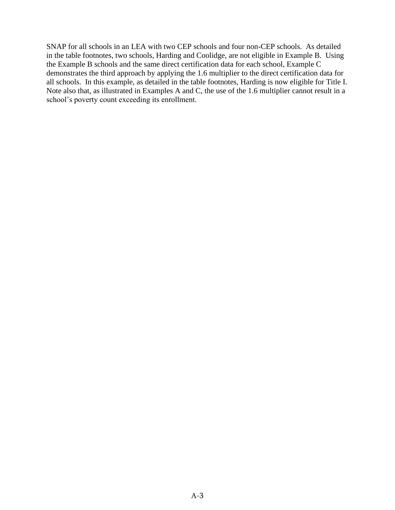SNAP for all schools in an LEA with two CEP schools and four non-CEP schools. As detailed in the table footnotes, two schools, Harding and Coolidge, are not eligible in Example B. Using the Example B schools and the same direct certification data for each school, Example C demonstrates the third approach by applying the 1.6 multiplier to the direct certification data for all schools. In this example, as detailed in the table footnotes, Harding is now eligible for Title I. Note also that, as illustrated in Examples A and C, the use of the 1.6 multiplier cannot result in a school's poverty count exceeding its enrollment.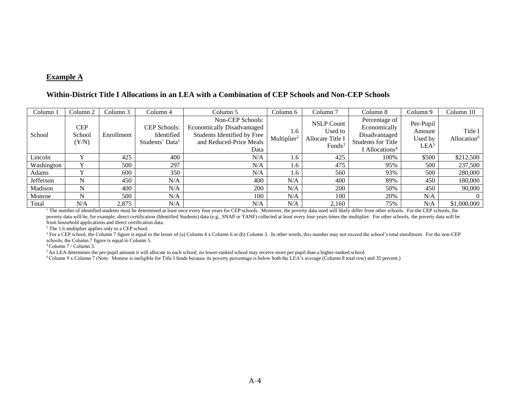#### **Example A**

#### **Within-District Title I Allocations in an LEA with a Combination of CEP Schools and Non-CEP Schools**

| Column 1       | Column 2                      | Column 3   | Column 4                                                         | Column 5                                                                                                                | Column 6                       | Column <sub>7</sub>                                           | Column 8                                                                                                  | Column 9                                           | Column 10                          |
|----------------|-------------------------------|------------|------------------------------------------------------------------|-------------------------------------------------------------------------------------------------------------------------|--------------------------------|---------------------------------------------------------------|-----------------------------------------------------------------------------------------------------------|----------------------------------------------------|------------------------------------|
| School         | <b>CEP</b><br>School<br>(Y/N) | Enrollment | <b>CEP Schools:</b><br>Identified<br>Students' Data <sup>1</sup> | Non-CEP Schools:<br><b>Economically Disadvantaged</b><br>Students Identified by Free<br>and Reduced-Price Meals<br>Data | 1.6<br>Multiplier <sup>2</sup> | <b>NSLP Count</b><br>Used to<br>Allocate Title I<br>Funds $3$ | Percentage of<br>Economically<br>Disadvantaged<br><b>Students for Title</b><br>I Allocations <sup>4</sup> | Per-Pupil<br>Amount<br>Used by<br>LEA <sup>5</sup> | Title I<br>Allocation <sup>6</sup> |
| Lincoln        |                               | 425        | 400                                                              | N/A                                                                                                                     | 1.6                            | 425                                                           | 100%                                                                                                      | \$500                                              | \$212,500                          |
| Washington     |                               | 500        | 297                                                              | N/A                                                                                                                     | 1.6                            | 475                                                           | 95%                                                                                                       | 500                                                | 237,500                            |
| Adams          |                               | 600        | 350                                                              | N/A                                                                                                                     | 1.6                            | 560                                                           | 93%                                                                                                       | 500                                                | 280,000                            |
| Jefferson      | N                             | 450        | N/A                                                              | 400                                                                                                                     | N/A                            | 400                                                           | 89%                                                                                                       | 450                                                | 180,000                            |
| Madison        | N                             | 400        | N/A                                                              | 200                                                                                                                     | N/A                            | 200                                                           | 50%                                                                                                       | 450                                                | 90,000                             |
| Monroe         | N                             | 500        | N/A                                                              | 100                                                                                                                     | N/A                            | 100                                                           | 20%                                                                                                       | N/A                                                |                                    |
| Total<br>$1 -$ | N/A                           | 2,875      | N/A                                                              | N/A                                                                                                                     | N/A                            | 2,160                                                         | 75%                                                                                                       | N/A                                                | \$1,000,000                        |

<sup>1</sup> The number of identified students must be determined at least once every four years for CEP schools. Moreover, the poverty data used will likely differ from other schools. For the CEP schools, the poverty data will be, for example, direct certification (Identified Students) data (e.g., SNAP or TANF) collected at least every four years times the multiplier. For other schools, the poverty data will be from household applications and direct certification data.

<sup>2</sup> The 1.6 multiplier applies only to a CEP school.

<sup>3</sup> For a CEP school, the Column 7 figure is equal to the lesser of (a) Column 4 x Column 6 or (b) Column 3. In other words, this number may not exceed the school's total enrollment. For the non-CEP schools, the Column 7 figure is equal to Column 5.

<sup>4</sup>Column 7 / Column 3.

<sup>5</sup> An LEA determines the per-pupil amount it will allocate to each school; no lower-ranked school may receive more per pupil than a higher-ranked school.

<sup>6</sup>Column 9 x Column 7 (Note: Monroe is ineligible for Title I funds because its poverty percentage is below both the LEA's average (Column 8 total row) and 35 percent.)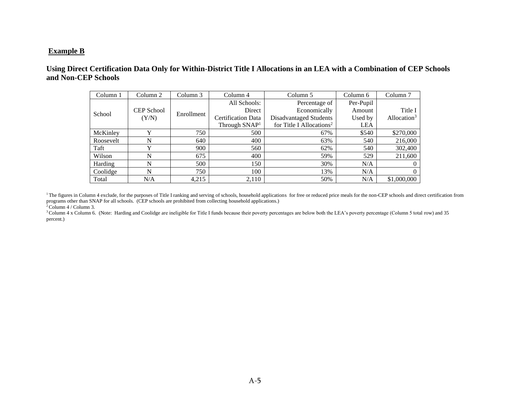#### **Example B**

# **Using Direct Certification Data Only for Within-District Title I Allocations in an LEA with a Combination of CEP Schools and Non-CEP Schools**

| Column 1  | Column 2   | Column 3   | Column 5<br>Column 4      |                                      | Column 6   | Column <sub>7</sub> |
|-----------|------------|------------|---------------------------|--------------------------------------|------------|---------------------|
|           |            | Enrollment | All Schools:              | Percentage of                        | Per-Pupil  |                     |
| School    | CEP School |            | Direct                    | Economically                         |            | Title I             |
|           | (Y/N)      |            | <b>Certification Data</b> | Disadvantaged Students               | Used by    | Allocation $3$      |
|           |            |            | Through SNAP <sup>1</sup> | for Title I Allocations <sup>2</sup> | <b>LEA</b> |                     |
| McKinley  | v          | 750        | 500                       | 67%                                  | \$540      | \$270,000           |
| Roosevelt | N          | 640        | 400                       | 63%                                  | 540        | 216,000             |
| Taft      | v          | 900        | 560                       | 62%                                  | 540        | 302,400             |
| Wilson    | N          | 675        | 400                       | 59%                                  | 529        | 211,600             |
| Harding   | N          | 500        | 150                       | 30%                                  | N/A        | $\theta$            |
| Coolidge  | N          | 750        | 100                       | 13%                                  | N/A        | $\theta$            |
| Total     | N/A        | 4,215      | 2,110                     | 50%                                  | N/A        | \$1,000,000         |

<sup>1</sup>The figures in Column 4 exclude, for the purposes of Title I ranking and serving of schools, household applications for free or reduced price meals for the non-CEP schools and direct certification from programs other than SNAP for all schools. (CEP schools are prohibited from collecting household applications.)

 $2$  Column 4 / Column 3.

<sup>3</sup>Column 4 x Column 6. (Note: Harding and Coolidge are ineligible for Title I funds because their poverty percentages are below both the LEA's poverty percentage (Column 5 total row) and 35 percent.)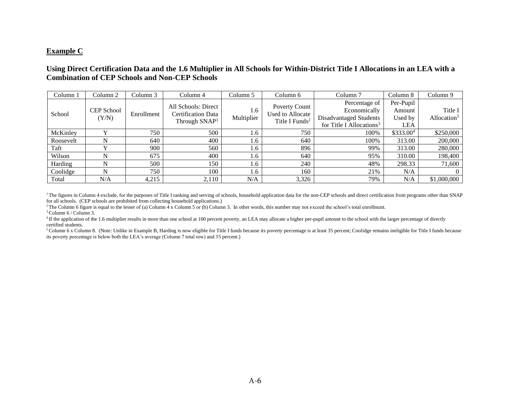#### **Example C**

## **Using Direct Certification Data and the 1.6 Multiplier in All Schools for Within-District Title I Allocations in an LEA with a Combination of CEP Schools and Non-CEP Schools**

| Column 1  | Column 2                   | Column 3   | Column 4                                                                      | Column 5          | Column 6                                                        | Column <sub>7</sub>                                                                             | Column 8                                     | Column 9                           |
|-----------|----------------------------|------------|-------------------------------------------------------------------------------|-------------------|-----------------------------------------------------------------|-------------------------------------------------------------------------------------------------|----------------------------------------------|------------------------------------|
| School    | <b>CEP</b> School<br>(Y/N) | Enrollment | All Schools: Direct<br><b>Certification Data</b><br>Through SNAP <sup>1</sup> | 1.6<br>Multiplier | Poverty Count<br>Used to Allocate<br>Title I Funds <sup>2</sup> | Percentage of<br>Economically<br>Disadvantaged Students<br>for Title I Allocations <sup>3</sup> | Per-Pupil<br>Amount<br>Used by<br><b>LEA</b> | Title I<br>Allocation <sup>5</sup> |
| McKinley  | $\mathbf v$                | 750        | 500                                                                           | 1.6               | 750                                                             | 100%                                                                                            | \$333.004                                    | \$250,000                          |
| Roosevelt | N                          | 640        | 400                                                                           | 1.6               | 640                                                             | 100%                                                                                            | 313.00                                       | 200,000                            |
| Taft      |                            | 900        | 560                                                                           | 1.6               | 896                                                             | 99%                                                                                             | 313.00                                       | 280,000                            |
| Wilson    | N                          | 675        | 400                                                                           | 1.6               | 640                                                             | 95%                                                                                             | 310.00                                       | 198,400                            |
| Harding   | N                          | 500        | 150                                                                           | 1.6               | 240                                                             | 48%                                                                                             | 298.33                                       | 71,600                             |
| Coolidge  | N                          | 750        | 100                                                                           | 1.6               | 160                                                             | 21%                                                                                             | N/A                                          | $\Omega$                           |
| Total     | N/A                        | 4,215      | 2,110                                                                         | N/A               | 3,326                                                           | 79%                                                                                             | N/A                                          | \$1,000,000                        |

<sup>1</sup>The figures in Column 4 exclude, for the purposes of Title I ranking and serving of schools, household application data for the non-CEP schools and direct certification from programs other than SNAP for all schools. (CEP schools are prohibited from collecting household applications.)

<sup>2</sup> The Column 6 figure is equal to the lesser of (a) Column  $\frac{4}{1}$  x Column 5 or (b) Column 3. In other words, this number may not exceed the school's total enrollment.

 $3$  Column 6 / Column 3.

<sup>4</sup> If the application of the 1.6 multiplier results in more than one school at 100 percent poverty, an LEA may allocate a higher per-pupil amount to the school with the larger percentage of directly certified students.

<sup>5</sup>Column 6 x Column 8. (Note: Unlike in Example B, Harding is now eligible for Title I funds because its poverty percentage is at least 35 percent; Coolidge remains ineligible for Title I funds because its poverty percentage is below both the LEA's average (Column 7 total row) and 35 percent.)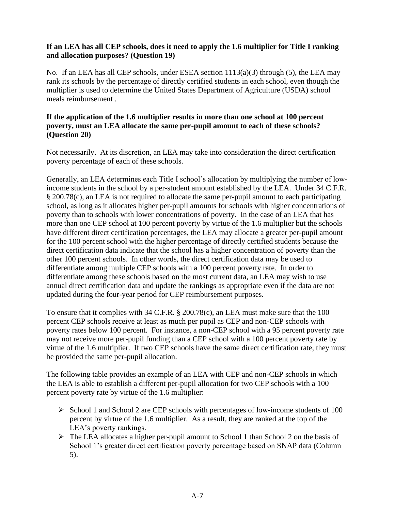# **If an LEA has all CEP schools, does it need to apply the 1.6 multiplier for Title I ranking and allocation purposes? (Question 19)**

No. If an LEA has all CEP schools, under ESEA section 1113(a)(3) through (5), the LEA may rank its schools by the percentage of directly certified students in each school, even though the multiplier is used to determine the United States Department of Agriculture (USDA) school meals reimbursement .

## **If the application of the 1.6 multiplier results in more than one school at 100 percent poverty, must an LEA allocate the same per-pupil amount to each of these schools? (Question 20)**

Not necessarily. At its discretion, an LEA may take into consideration the direct certification poverty percentage of each of these schools.

Generally, an LEA determines each Title I school's allocation by multiplying the number of lowincome students in the school by a per-student amount established by the LEA. Under 34 C.F.R. § 200.78(c), an LEA is not required to allocate the same per-pupil amount to each participating school, as long as it allocates higher per-pupil amounts for schools with higher concentrations of poverty than to schools with lower concentrations of poverty. In the case of an LEA that has more than one CEP school at 100 percent poverty by virtue of the 1.6 multiplier but the schools have different direct certification percentages, the LEA may allocate a greater per-pupil amount for the 100 percent school with the higher percentage of directly certified students because the direct certification data indicate that the school has a higher concentration of poverty than the other 100 percent schools. In other words, the direct certification data may be used to differentiate among multiple CEP schools with a 100 percent poverty rate. In order to differentiate among these schools based on the most current data, an LEA may wish to use annual direct certification data and update the rankings as appropriate even if the data are not updated during the four-year period for CEP reimbursement purposes.

To ensure that it complies with 34 C.F.R. § 200.78(c), an LEA must make sure that the 100 percent CEP schools receive at least as much per pupil as CEP and non-CEP schools with poverty rates below 100 percent. For instance, a non-CEP school with a 95 percent poverty rate may not receive more per-pupil funding than a CEP school with a 100 percent poverty rate by virtue of the 1.6 multiplier. If two CEP schools have the same direct certification rate, they must be provided the same per-pupil allocation.

The following table provides an example of an LEA with CEP and non-CEP schools in which the LEA is able to establish a different per-pupil allocation for two CEP schools with a 100 percent poverty rate by virtue of the 1.6 multiplier:

- ➢ School 1 and School 2 are CEP schools with percentages of low-income students of 100 percent by virtue of the 1.6 multiplier. As a result, they are ranked at the top of the LEA's poverty rankings.
- ➢ The LEA allocates a higher per-pupil amount to School 1 than School 2 on the basis of School 1's greater direct certification poverty percentage based on SNAP data (Column 5).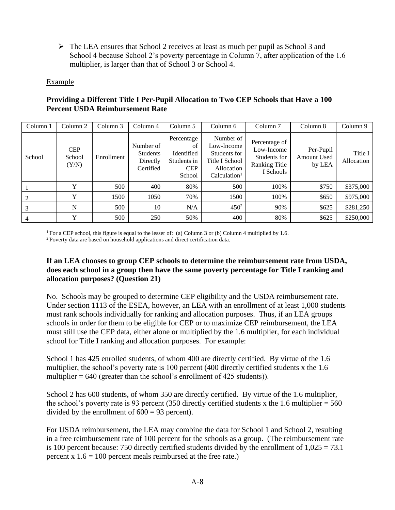$\triangleright$  The LEA ensures that School 2 receives at least as much per pupil as School 3 and School 4 because School 2's poverty percentage in Column 7, after application of the 1.6 multiplier, is larger than that of School 3 or School 4.

# Example

| Column 1 | Column <sub>2</sub>           | Column 3   | Column 4                                              | Column 5                                                              | Column 6                                                                                            | Column <sub>7</sub>                                                       | Column 8                           | Column 9              |
|----------|-------------------------------|------------|-------------------------------------------------------|-----------------------------------------------------------------------|-----------------------------------------------------------------------------------------------------|---------------------------------------------------------------------------|------------------------------------|-----------------------|
| School   | <b>CEP</b><br>School<br>(Y/N) | Enrollment | Number of<br><b>Students</b><br>Directly<br>Certified | Percentage<br>οf<br>Identified<br>Students in<br><b>CEP</b><br>School | Number of<br>Low-Income<br>Students for<br>Title I School<br>Allocation<br>Calculation <sup>1</sup> | Percentage of<br>Low-Income<br>Students for<br>Ranking Title<br>I Schools | Per-Pupil<br>Amount Used<br>by LEA | Title I<br>Allocation |
|          | Y                             | 500        | 400                                                   | 80%                                                                   | 500                                                                                                 | 100%                                                                      | \$750                              | \$375,000             |
|          |                               | 1500       | 1050                                                  | 70%                                                                   | 1500                                                                                                | 100%                                                                      | \$650                              | \$975,000             |
| 3        | N                             | 500        | 10                                                    | N/A                                                                   | $450^2$                                                                                             | 90%                                                                       | \$625                              | \$281,250             |
|          | Y                             | 500        | 250                                                   | 50%                                                                   | 400                                                                                                 | 80%                                                                       | \$625                              | \$250,000             |

# **Providing a Different Title I Per-Pupil Allocation to Two CEP Schools that Have a 100 Percent USDA Reimbursement Rate**

<sup>1</sup> For a CEP school, this figure is equal to the lesser of: (a) Column 3 or (b) Column 4 multiplied by 1.6.

<sup>2</sup> Poverty data are based on household applications and direct certification data.

# **If an LEA chooses to group CEP schools to determine the reimbursement rate from USDA, does each school in a group then have the same poverty percentage for Title I ranking and allocation purposes? (Question 21)**

No. Schools may be grouped to determine CEP eligibility and the USDA reimbursement rate. Under section 1113 of the ESEA, however, an LEA with an enrollment of at least 1,000 students must rank schools individually for ranking and allocation purposes. Thus, if an LEA groups schools in order for them to be eligible for CEP or to maximize CEP reimbursement, the LEA must still use the CEP data, either alone or multiplied by the 1.6 multiplier, for each individual school for Title I ranking and allocation purposes. For example:

School 1 has 425 enrolled students, of whom 400 are directly certified. By virtue of the 1.6 multiplier, the school's poverty rate is 100 percent (400 directly certified students x the 1.6 multiplier  $= 640$  (greater than the school's enrollment of 425 students)).

School 2 has 600 students, of whom 350 are directly certified. By virtue of the 1.6 multiplier, the school's poverty rate is 93 percent (350 directly certified students x the 1.6 multiplier  $= 560$ divided by the enrollment of  $600 = 93$  percent).

For USDA reimbursement, the LEA may combine the data for School 1 and School 2, resulting in a free reimbursement rate of 100 percent for the schools as a group. (The reimbursement rate is 100 percent because: 750 directly certified students divided by the enrollment of  $1,025 = 73.1$ percent x  $1.6 = 100$  percent meals reimbursed at the free rate.)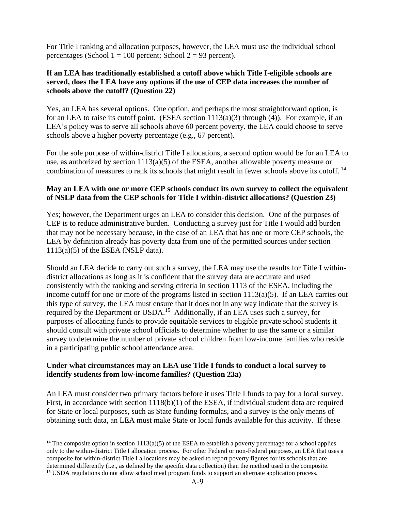For Title I ranking and allocation purposes, however, the LEA must use the individual school percentages (School  $1 = 100$  percent; School  $2 = 93$  percent).

# **If an LEA has traditionally established a cutoff above which Title I-eligible schools are served, does the LEA have any options if the use of CEP data increases the number of schools above the cutoff? (Question 22)**

Yes, an LEA has several options. One option, and perhaps the most straightforward option, is for an LEA to raise its cutoff point. (ESEA section 1113(a)(3) through (4)). For example, if an LEA's policy was to serve all schools above 60 percent poverty, the LEA could choose to serve schools above a higher poverty percentage (e.g., 67 percent).

For the sole purpose of within-district Title I allocations, a second option would be for an LEA to use, as authorized by section  $1113(a)(5)$  of the ESEA, another allowable poverty measure or combination of measures to rank its schools that might result in fewer schools above its cutoff.<sup>14</sup>

## **May an LEA with one or more CEP schools conduct its own survey to collect the equivalent of NSLP data from the CEP schools for Title I within-district allocations? (Question 23)**

Yes; however, the Department urges an LEA to consider this decision. One of the purposes of CEP is to reduce administrative burden. Conducting a survey just for Title I would add burden that may not be necessary because, in the case of an LEA that has one or more CEP schools, the LEA by definition already has poverty data from one of the permitted sources under section  $1113(a)(5)$  of the ESEA (NSLP data).

Should an LEA decide to carry out such a survey, the LEA may use the results for Title I withindistrict allocations as long as it is confident that the survey data are accurate and used consistently with the ranking and serving criteria in section 1113 of the ESEA, including the income cutoff for one or more of the programs listed in section 1113(a)(5). If an LEA carries out this type of survey, the LEA must ensure that it does not in any way indicate that the survey is required by the Department or USDA.<sup>15</sup> Additionally, if an LEA uses such a survey, for purposes of allocating funds to provide equitable services to eligible private school students it should consult with private school officials to determine whether to use the same or a similar survey to determine the number of private school children from low-income families who reside in a participating public school attendance area.

# **Under what circumstances may an LEA use Title I funds to conduct a local survey to identify students from low-income families? (Question 23a)**

An LEA must consider two primary factors before it uses Title I funds to pay for a local survey. First, in accordance with section 1118(b)(1) of the ESEA, if individual student data are required for State or local purposes, such as State funding formulas, and a survey is the only means of obtaining such data, an LEA must make State or local funds available for this activity. If these

<sup>&</sup>lt;sup>14</sup> The composite option in section 1113(a)(5) of the ESEA to establish a poverty percentage for a school applies only to the within-district Title I allocation process. For other Federal or non-Federal purposes, an LEA that uses a composite for within-district Title I allocations may be asked to report poverty figures for its schools that are determined differently (i.e., as defined by the specific data collection) than the method used in the composite. <sup>15</sup> USDA regulations do not allow school meal program funds to support an alternate application process.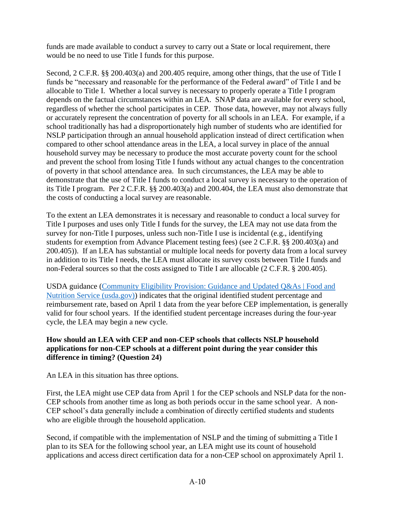funds are made available to conduct a survey to carry out a State or local requirement, there would be no need to use Title I funds for this purpose.

Second, 2 C.F.R. §§ 200.403(a) and 200.405 require, among other things, that the use of Title I funds be "necessary and reasonable for the performance of the Federal award" of Title I and be allocable to Title I. Whether a local survey is necessary to properly operate a Title I program depends on the factual circumstances within an LEA. SNAP data are available for every school, regardless of whether the school participates in CEP. Those data, however, may not always fully or accurately represent the concentration of poverty for all schools in an LEA. For example, if a school traditionally has had a disproportionately high number of students who are identified for NSLP participation through an annual household application instead of direct certification when compared to other school attendance areas in the LEA, a local survey in place of the annual household survey may be necessary to produce the most accurate poverty count for the school and prevent the school from losing Title I funds without any actual changes to the concentration of poverty in that school attendance area. In such circumstances, the LEA may be able to demonstrate that the use of Title I funds to conduct a local survey is necessary to the operation of its Title I program. Per 2 C.F.R. §§ 200.403(a) and 200.404, the LEA must also demonstrate that the costs of conducting a local survey are reasonable.

To the extent an LEA demonstrates it is necessary and reasonable to conduct a local survey for Title I purposes and uses only Title I funds for the survey, the LEA may not use data from the survey for non-Title I purposes, unless such non-Title I use is incidental (e.g., identifying students for exemption from Advance Placement testing fees) (see 2 C.F.R. §§ 200.403(a) and 200.405)). If an LEA has substantial or multiple local needs for poverty data from a local survey in addition to its Title I needs, the LEA must allocate its survey costs between Title I funds and non-Federal sources so that the costs assigned to Title I are allocable (2 C.F.R. § 200.405).

USDA guidance [\(Community Eligibility Provision: Guidance and Updated Q&As | Food and](https://www.fns.usda.gov/cn/community-eligibility-provision-guidance-and-updated-qas-1)  [Nutrition Service \(usda.gov\)\)](https://www.fns.usda.gov/cn/community-eligibility-provision-guidance-and-updated-qas-1) indicates that the original identified student percentage and reimbursement rate, based on April 1 data from the year before CEP implementation, is generally valid for four school years. If the identified student percentage increases during the four-year cycle, the LEA may begin a new cycle.

# **How should an LEA with CEP and non-CEP schools that collects NSLP household applications for non-CEP schools at a different point during the year consider this difference in timing? (Question 24)**

An LEA in this situation has three options.

First, the LEA might use CEP data from April 1 for the CEP schools and NSLP data for the non-CEP schools from another time as long as both periods occur in the same school year. A non-CEP school's data generally include a combination of directly certified students and students who are eligible through the household application.

Second, if compatible with the implementation of NSLP and the timing of submitting a Title I plan to its SEA for the following school year, an LEA might use its count of household applications and access direct certification data for a non-CEP school on approximately April 1.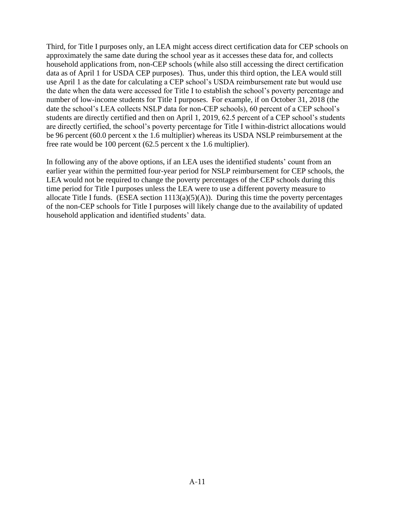Third, for Title I purposes only, an LEA might access direct certification data for CEP schools on approximately the same date during the school year as it accesses these data for, and collects household applications from, non-CEP schools (while also still accessing the direct certification data as of April 1 for USDA CEP purposes). Thus, under this third option, the LEA would still use April 1 as the date for calculating a CEP school's USDA reimbursement rate but would use the date when the data were accessed for Title I to establish the school's poverty percentage and number of low-income students for Title I purposes. For example, if on October 31, 2018 (the date the school's LEA collects NSLP data for non-CEP schools), 60 percent of a CEP school's students are directly certified and then on April 1, 2019, 62.5 percent of a CEP school's students are directly certified, the school's poverty percentage for Title I within-district allocations would be 96 percent (60.0 percent x the 1.6 multiplier) whereas its USDA NSLP reimbursement at the free rate would be 100 percent (62.5 percent x the 1.6 multiplier).

In following any of the above options, if an LEA uses the identified students' count from an earlier year within the permitted four-year period for NSLP reimbursement for CEP schools, the LEA would not be required to change the poverty percentages of the CEP schools during this time period for Title I purposes unless the LEA were to use a different poverty measure to allocate Title I funds. (ESEA section  $1113(a)(5)(A)$ ). During this time the poverty percentages of the non-CEP schools for Title I purposes will likely change due to the availability of updated household application and identified students' data.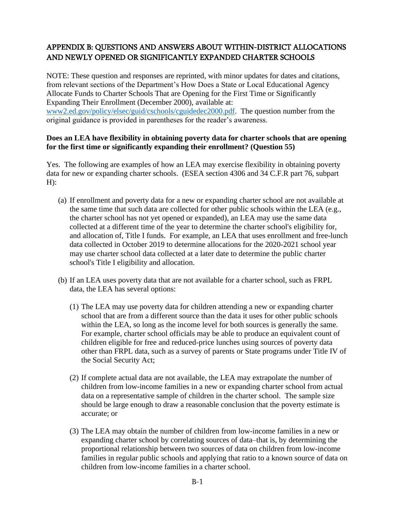# <span id="page-32-0"></span>APPENDIX B: QUESTIONS AND ANSWERS ABOUT WITHIN-DISTRICT ALLOCATIONS AND NEWLY OPENED OR SIGNIFICANTLY EXPANDED CHARTER SCHOOLS

NOTE: These question and responses are reprinted, with minor updates for dates and citations, from relevant sections of the Department's How Does a State or Local Educational Agency Allocate Funds to Charter Schools That are Opening for the First Time or Significantly Expanding Their Enrollment (December 2000), available at: [www2.ed.gov/policy/elsec/guid/cschools/cguidedec2000.pdf.](https://www2.ed.gov/policy/elsec/guid/cschools/cguidedec2000.pdf) The question number from the original guidance is provided in parentheses for the reader's awareness.

# **Does an LEA have flexibility in obtaining poverty data for charter schools that are opening for the first time or significantly expanding their enrollment? (Question 55)**

Yes. The following are examples of how an LEA may exercise flexibility in obtaining poverty data for new or expanding charter schools. (ESEA section 4306 and 34 C.F.R part 76, subpart  $H$ :

- (a) If enrollment and poverty data for a new or expanding charter school are not available at the same time that such data are collected for other public schools within the LEA (e.g., the charter school has not yet opened or expanded), an LEA may use the same data collected at a different time of the year to determine the charter school's eligibility for, and allocation of, Title I funds. For example, an LEA that uses enrollment and free-lunch data collected in October 2019 to determine allocations for the 2020-2021 school year may use charter school data collected at a later date to determine the public charter school's Title I eligibility and allocation.
- (b) If an LEA uses poverty data that are not available for a charter school, such as FRPL data, the LEA has several options:
	- (1) The LEA may use poverty data for children attending a new or expanding charter school that are from a different source than the data it uses for other public schools within the LEA, so long as the income level for both sources is generally the same. For example, charter school officials may be able to produce an equivalent count of children eligible for free and reduced-price lunches using sources of poverty data other than FRPL data, such as a survey of parents or State programs under Title IV of the Social Security Act;
	- (2) If complete actual data are not available, the LEA may extrapolate the number of children from low-income families in a new or expanding charter school from actual data on a representative sample of children in the charter school. The sample size should be large enough to draw a reasonable conclusion that the poverty estimate is accurate; or
	- (3) The LEA may obtain the number of children from low-income families in a new or expanding charter school by correlating sources of data–that is, by determining the proportional relationship between two sources of data on children from low-income families in regular public schools and applying that ratio to a known source of data on children from low-income families in a charter school.